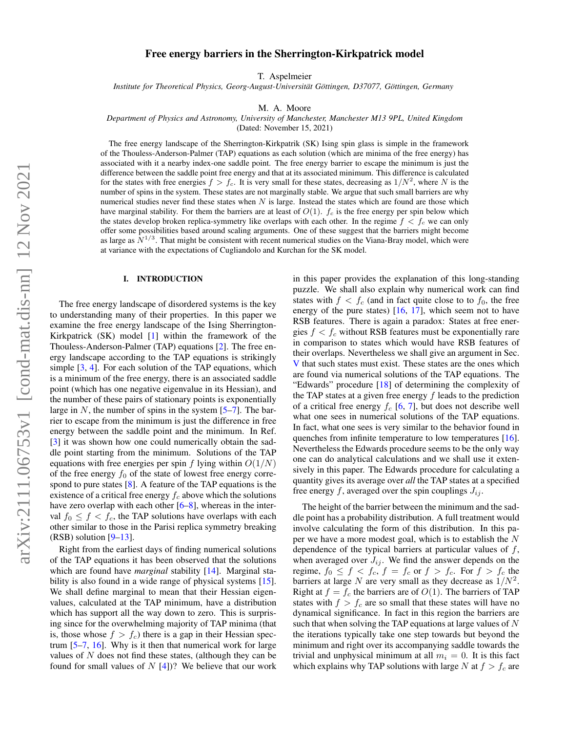## Free energy barriers in the Sherrington-Kirkpatrick model

T. Aspelmeier

*Institute for Theoretical Physics, Georg-August-Universitat G ¨ ottingen, D37077, G ¨ ottingen, Germany ¨*

M. A. Moore

*Department of Physics and Astronomy, University of Manchester, Manchester M13 9PL, United Kingdom*

(Dated: November 15, 2021)

The free energy landscape of the Sherrington-Kirkpatrik (SK) Ising spin glass is simple in the framework of the Thouless-Anderson-Palmer (TAP) equations as each solution (which are minima of the free energy) has associated with it a nearby index-one saddle point. The free energy barrier to escape the minimum is just the difference between the saddle point free energy and that at its associated minimum. This difference is calculated for the states with free energies  $f > f_c$ . It is very small for these states, decreasing as  $1/N^2$ , where N is the number of spins in the system. These states are not marginally stable. We argue that such small barriers are why numerical studies never find these states when  $N$  is large. Instead the states which are found are those which have marginal stability. For them the barriers are at least of  $O(1)$ .  $f_c$  is the free energy per spin below which the states develop broken replica-symmetry like overlaps with each other. In the regime  $f < f_c$  we can only offer some possibilities based around scaling arguments. One of these suggest that the barriers might become as large as  $N^{1/3}$ . That might be consistent with recent numerical studies on the Viana-Bray model, which were at variance with the expectations of Cugliandolo and Kurchan for the SK model.

#### I. INTRODUCTION

The free energy landscape of disordered systems is the key to understanding many of their properties. In this paper we examine the free energy landscape of the Ising Sherrington-Kirkpatrick (SK) model [\[1\]](#page-12-0) within the framework of the Thouless-Anderson-Palmer (TAP) equations [\[2\]](#page-12-1). The free energy landscape according to the TAP equations is strikingly simple [\[3,](#page-12-2) [4\]](#page-12-3). For each solution of the TAP equations, which is a minimum of the free energy, there is an associated saddle point (which has one negative eigenvalue in its Hessian), and the number of these pairs of stationary points is exponentially large in N, the number of spins in the system  $[5-7]$  $[5-7]$ . The barrier to escape from the minimum is just the difference in free energy between the saddle point and the minimum. In Ref. [\[3\]](#page-12-2) it was shown how one could numerically obtain the saddle point starting from the minimum. Solutions of the TAP equations with free energies per spin f lying within  $O(1/N)$ of the free energy  $f_0$  of the state of lowest free energy correspond to pure states [\[8\]](#page-12-6). A feature of the TAP equations is the existence of a critical free energy  $f_c$  above which the solutions have zero overlap with each other  $[6–8]$  $[6–8]$ , whereas in the interval  $f_0 \leq f \leq f_c$ , the TAP solutions have overlaps with each other similar to those in the Parisi replica symmetry breaking  $(RSB)$  solution  $[9-13]$  $[9-13]$ .

Right from the earliest days of finding numerical solutions of the TAP equations it has been observed that the solutions which are found have *marginal* stability [\[14\]](#page-12-10). Marginal sta-bility is also found in a wide range of physical systems [\[15\]](#page-12-11). We shall define marginal to mean that their Hessian eigenvalues, calculated at the TAP minimum, have a distribution which has support all the way down to zero. This is surprising since for the overwhelming majority of TAP minima (that is, those whose  $f > f_c$ ) there is a gap in their Hessian spectrum [\[5](#page-12-4)[–7,](#page-12-5) [16\]](#page-12-12). Why is it then that numerical work for large values of  $N$  does not find these states, (although they can be found for small values of  $N$  [\[4\]](#page-12-3))? We believe that our work

in this paper provides the explanation of this long-standing puzzle. We shall also explain why numerical work can find states with  $f < f_c$  (and in fact quite close to to  $f_0$ , the free energy of the pure states)  $[16, 17]$  $[16, 17]$  $[16, 17]$ , which seem not to have RSB features. There is again a paradox: States at free energies  $f < f_c$  without RSB features must be exponentially rare in comparison to states which would have RSB features of their overlaps. Nevertheless we shall give an argument in Sec. [V](#page-5-0) that such states must exist. These states are the ones which are found via numerical solutions of the TAP equations. The "Edwards" procedure [\[18\]](#page-12-14) of determining the complexity of the TAP states at a given free energy  $f$  leads to the prediction of a critical free energy  $f_c$  [\[6,](#page-12-7) [7\]](#page-12-5), but does not describe well what one sees in numerical solutions of the TAP equations. In fact, what one sees is very similar to the behavior found in quenches from infinite temperature to low temperatures [\[16\]](#page-12-12). Nevertheless the Edwards procedure seems to be the only way one can do analytical calculations and we shall use it extensively in this paper. The Edwards procedure for calculating a quantity gives its average over *all* the TAP states at a specified free energy f, averaged over the spin couplings  $J_{ij}$ .

The height of the barrier between the minimum and the saddle point has a probability distribution. A full treatment would involve calculating the form of this distribution. In this paper we have a more modest goal, which is to establish the N dependence of the typical barriers at particular values of  $f$ , when averaged over  $J_{ij}$ . We find the answer depends on the regime,  $f_0 \le f < f_c$ ,  $f = f_c$  or  $f > f_c$ . For  $f > f_c$  the barriers at large N are very small as they decrease as  $1/N^2$ . Right at  $f = f_c$  the barriers are of  $O(1)$ . The barriers of TAP states with  $f > f_c$  are so small that these states will have no dynamical significance. In fact in this region the barriers are such that when solving the TAP equations at large values of  $N$ the iterations typically take one step towards but beyond the minimum and right over its accompanying saddle towards the trivial and unphysical minimum at all  $m_i = 0$ . It is this fact which explains why TAP solutions with large N at  $f > f_c$  are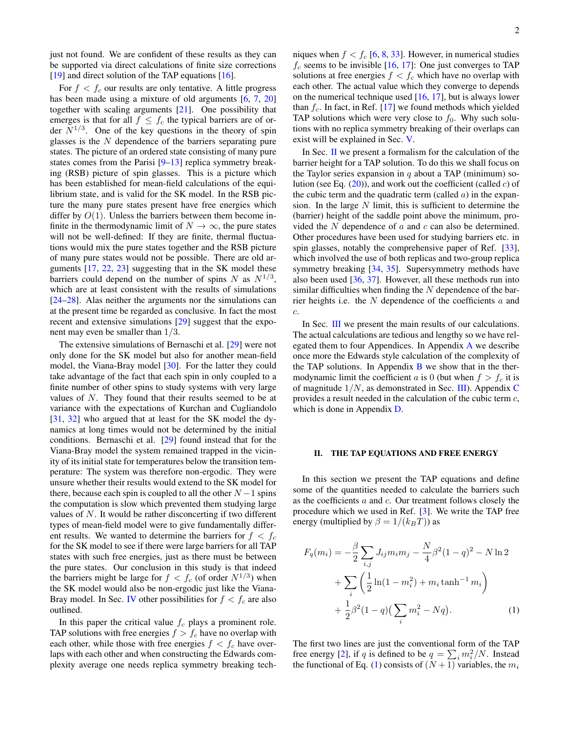just not found. We are confident of these results as they can be supported via direct calculations of finite size corrections [\[19\]](#page-12-15) and direct solution of the TAP equations [\[16\]](#page-12-12).

For  $f < f_c$  our results are only tentative. A little progress has been made using a mixture of old arguments [\[6,](#page-12-7) [7,](#page-12-5) [20\]](#page-12-16) together with scaling arguments [\[21\]](#page-12-17). One possibility that emerges is that for all  $f \leq f_c$  the typical barriers are of order  $N^{1/3}$ . One of the key questions in the theory of spin glasses is the  $N$  dependence of the barriers separating pure states. The picture of an ordered state consisting of many pure states comes from the Parisi [\[9](#page-12-8)[–13\]](#page-12-9) replica symmetry breaking (RSB) picture of spin glasses. This is a picture which has been established for mean-field calculations of the equilibrium state, and is valid for the SK model. In the RSB picture the many pure states present have free energies which differ by  $O(1)$ . Unless the barriers between them become infinite in the thermodynamic limit of  $N \to \infty$ , the pure states will not be well-defined: If they are finite, thermal fluctuations would mix the pure states together and the RSB picture of many pure states would not be possible. There are old arguments [\[17,](#page-12-13) [22,](#page-12-18) [23\]](#page-12-19) suggesting that in the SK model these barriers could depend on the number of spins N as  $N^{1/3}$ , which are at least consistent with the results of simulations [\[24](#page-12-20)[–28\]](#page-12-21). Alas neither the arguments nor the simulations can at the present time be regarded as conclusive. In fact the most recent and extensive simulations [\[29\]](#page-12-22) suggest that the exponent may even be smaller than 1/3.

The extensive simulations of Bernaschi et al. [\[29\]](#page-12-22) were not only done for the SK model but also for another mean-field model, the Viana-Bray model [\[30\]](#page-12-23). For the latter they could take advantage of the fact that each spin in only coupled to a finite number of other spins to study systems with very large values of N. They found that their results seemed to be at variance with the expectations of Kurchan and Cugliandolo [\[31,](#page-13-0) [32\]](#page-13-1) who argued that at least for the SK model the dynamics at long times would not be determined by the initial conditions. Bernaschi et al. [\[29\]](#page-12-22) found instead that for the Viana-Bray model the system remained trapped in the vicinity of its initial state for temperatures below the transition temperature: The system was therefore non-ergodic. They were unsure whether their results would extend to the SK model for there, because each spin is coupled to all the other  $N-1$  spins the computation is slow which prevented them studying large values of N. It would be rather disconcerting if two different types of mean-field model were to give fundamentally different results. We wanted to determine the barriers for  $f < f_c$ for the SK model to see if there were large barriers for all TAP states with such free energies, just as there must be between the pure states. Our conclusion in this study is that indeed the barriers might be large for  $f < f_c$  (of order  $N^{1/3}$ ) when the SK model would also be non-ergodic just like the Viana-Bray model. In Sec. [IV](#page-5-1) other possibilities for  $f < f_c$  are also outlined.

In this paper the critical value  $f_c$  plays a prominent role. TAP solutions with free energies  $f > f_c$  have no overlap with each other, while those with free energies  $f < f_c$  have overlaps with each other and when constructing the Edwards complexity average one needs replica symmetry breaking techniques when  $f < f_c$  [\[6,](#page-12-7) [8,](#page-12-6) [33\]](#page-13-2). However, in numerical studies  $f_c$  seems to be invisible [\[16,](#page-12-12) [17\]](#page-12-13): One just converges to TAP solutions at free energies  $f < f_c$  which have no overlap with each other. The actual value which they converge to depends on the numerical technique used  $[16, 17]$  $[16, 17]$  $[16, 17]$ , but is always lower than  $f_c$ . In fact, in Ref. [\[17\]](#page-12-13) we found methods which yielded TAP solutions which were very close to  $f_0$ . Why such solutions with no replica symmetry breaking of their overlaps can exist will be explained in Sec. [V.](#page-5-0)

In Sec. [II](#page-1-0) we present a formalism for the calculation of the barrier height for a TAP solution. To do this we shall focus on the Taylor series expansion in  $q$  about a TAP (minimum) solution (see Eq.  $(20)$ ), and work out the coefficient (called c) of the cubic term and the quadratic term (called  $a$ ) in the expansion. In the large  $N$  limit, this is sufficient to determine the (barrier) height of the saddle point above the minimum, provided the  $N$  dependence of  $a$  and  $c$  can also be determined. Other procedures have been used for studying barriers etc. in spin glasses, notably the comprehensive paper of Ref. [\[33\]](#page-13-2), which involved the use of both replicas and two-group replica symmetry breaking [\[34,](#page-13-3) [35\]](#page-13-4). Supersymmetry methods have also been used [\[36,](#page-13-5) [37\]](#page-13-6). However, all these methods run into similar difficulties when finding the  $N$  dependence of the barrier heights i.e. the  $N$  dependence of the coefficients  $a$  and c.

In Sec. [III](#page-3-1) we present the main results of our calculations. The actual calculations are tedious and lengthy so we have relegated them to four Appendices. In Appendix [A](#page-6-0) we describe once more the Edwards style calculation of the complexity of the TAP solutions. In Appendix  $\bf{B}$  $\bf{B}$  $\bf{B}$  we show that in the thermodynamic limit the coefficient a is 0 (but when  $f > f_c$  it is of magnitude  $1/N$ , as demonstrated in Sec. [III\)](#page-3-1). Appendix [C](#page-9-0) provides a result needed in the calculation of the cubic term c, which is done in Appendix **D**.

#### <span id="page-1-0"></span>II. THE TAP EQUATIONS AND FREE ENERGY

In this section we present the TAP equations and define some of the quantities needed to calculate the barriers such as the coefficients  $a$  and  $c$ . Our treatment follows closely the procedure which we used in Ref. [\[3\]](#page-12-2). We write the TAP free energy (multiplied by  $\beta = 1/(k_BT)$ ) as

<span id="page-1-1"></span>
$$
F_q(m_i) = -\frac{\beta}{2} \sum_{i,j} J_{ij} m_i m_j - \frac{N}{4} \beta^2 (1 - q)^2 - N \ln 2
$$
  
+ 
$$
\sum_i \left( \frac{1}{2} \ln(1 - m_i^2) + m_i \tanh^{-1} m_i \right)
$$
  
+ 
$$
\frac{1}{2} \beta^2 (1 - q) \left( \sum_i m_i^2 - Nq \right).
$$
 (1)

The first two lines are just the conventional form of the TAP free energy [\[2\]](#page-12-1), if q is defined to be  $q = \sum_i m_i^2/N$ . Instead the functional of Eq. [\(1\)](#page-1-1) consists of  $(N + 1)$  variables, the  $m_i$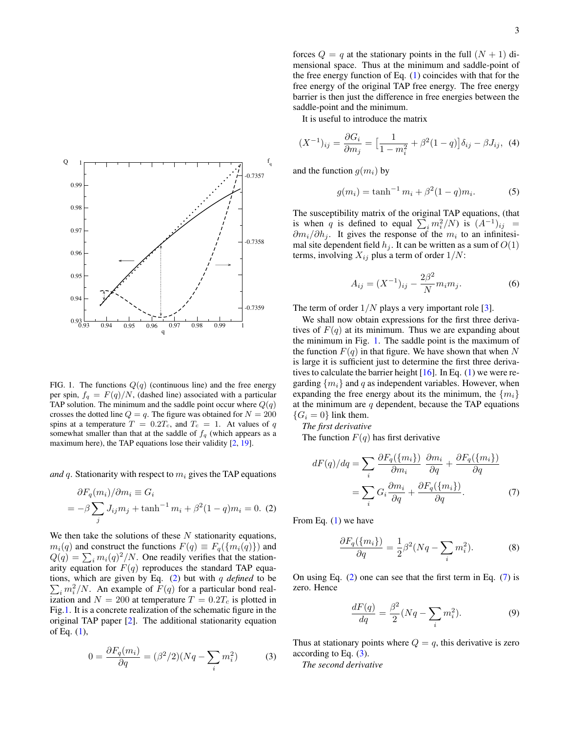

<span id="page-2-1"></span>FIG. 1. The functions  $Q(q)$  (continuous line) and the free energy per spin,  $f_q = F(q)/N$ , (dashed line) associated with a particular TAP solution. The minimum and the saddle point occur where  $Q(q)$ crosses the dotted line  $Q = q$ . The figure was obtained for  $N = 200$ spins at a temperature  $T = 0.2T_c$ , and  $T_c = 1$ . At values of q somewhat smaller than that at the saddle of  $f_q$  (which appears as a maximum here), the TAP equations lose their validity [\[2,](#page-12-1) [19\]](#page-12-15).

*and* q. Stationarity with respect to  $m_i$  gives the TAP equations

<span id="page-2-0"></span>
$$
\partial F_q(m_i)/\partial m_i \equiv G_i
$$
  
=  $-\beta \sum_j J_{ij} m_j + \tanh^{-1} m_i + \beta^2 (1-q) m_i = 0.$  (2)

We then take the solutions of these  $N$  stationarity equations,  $m_i(q)$  and construct the functions  $F(q) \equiv F_q(\{m_i(q)\})$  and  $Q(q) = \sum_i m_i(q)^2/N$ . One readily verifies that the stationarity equation for  $F(q)$  reproduces the standard TAP equa- $\sum_i m_i^2/N$ . An example of  $F(q)$  for a particular bond realtions, which are given by Eq. [\(2\)](#page-2-0) but with q *defined* to be ization and  $N = 200$  at temperature  $T = 0.2T_c$  is plotted in Fig[.1.](#page-2-1) It is a concrete realization of the schematic figure in the original TAP paper [\[2\]](#page-12-1). The additional stationarity equation of Eq. [\(1\)](#page-1-1),

<span id="page-2-3"></span>
$$
0 = \frac{\partial F_q(m_i)}{\partial q} = (\beta^2/2)(Nq - \sum_i m_i^2) \tag{3}
$$

forces  $Q = q$  at the stationary points in the full  $(N + 1)$  dimensional space. Thus at the minimum and saddle-point of the free energy function of Eq. [\(1\)](#page-1-1) coincides with that for the free energy of the original TAP free energy. The free energy barrier is then just the difference in free energies between the saddle-point and the minimum.

It is useful to introduce the matrix

$$
(X^{-1})_{ij} = \frac{\partial G_i}{\partial m_j} = \left[\frac{1}{1 - m_i^2} + \beta^2 (1 - q)\right] \delta_{ij} - \beta J_{ij}, \tag{4}
$$

and the function  $q(m_i)$  by

$$
g(m_i) = \tanh^{-1} m_i + \beta^2 (1 - q) m_i.
$$
 (5)

The susceptibility matrix of the original TAP equations, (that is when q is defined to equal  $\sum_i m_i^2/N$  is  $(A^{-1})_{ij}$  =  $\partial m_i/\partial h_j$ . It gives the response of the  $m_i$  to an infinitesimal site dependent field  $h_j$ . It can be written as a sum of  $O(1)$ terms, involving  $X_{ij}$  plus a term of order  $1/N$ :

$$
A_{ij} = (X^{-1})_{ij} - \frac{2\beta^2}{N} m_i m_j.
$$
 (6)

The term of order  $1/N$  plays a very important role [\[3\]](#page-12-2).

We shall now obtain expressions for the first three derivatives of  $F(q)$  at its minimum. Thus we are expanding about the minimum in Fig. [1.](#page-2-1) The saddle point is the maximum of the function  $F(q)$  in that figure. We have shown that when N is large it is sufficient just to determine the first three derivatives to calculate the barrier height  $[16]$ . In Eq. [\(1\)](#page-1-1) we were regarding  $\{m_i\}$  and q as independent variables. However, when expanding the free energy about its the minimum, the  $\{m_i\}$ at the minimum are  $q$  dependent, because the TAP equations  ${G_i = 0}$  link them.

*The first derivative*

The function  $F(q)$  has first derivative

<span id="page-2-2"></span>
$$
dF(q)/dq = \sum_{i} \frac{\partial F_q(\{m_i\})}{\partial m_i} \frac{\partial m_i}{\partial q} + \frac{\partial F_q(\{m_i\})}{\partial q}
$$

$$
= \sum_{i} G_i \frac{\partial m_i}{\partial q} + \frac{\partial F_q(\{m_i\})}{\partial q}.
$$
(7)

From Eq. [\(1\)](#page-1-1) we have

$$
\frac{\partial F_q(\{m_i\})}{\partial q} = \frac{1}{2}\beta^2 (Nq - \sum_i m_i^2). \tag{8}
$$

On using Eq.  $(2)$  one can see that the first term in Eq.  $(7)$  is zero. Hence

<span id="page-2-4"></span>
$$
\frac{dF(q)}{dq} = \frac{\beta^2}{2}(Nq - \sum_i m_i^2). \tag{9}
$$

Thus at stationary points where  $Q = q$ , this derivative is zero according to Eq. [\(3\)](#page-2-3).

*The second derivative*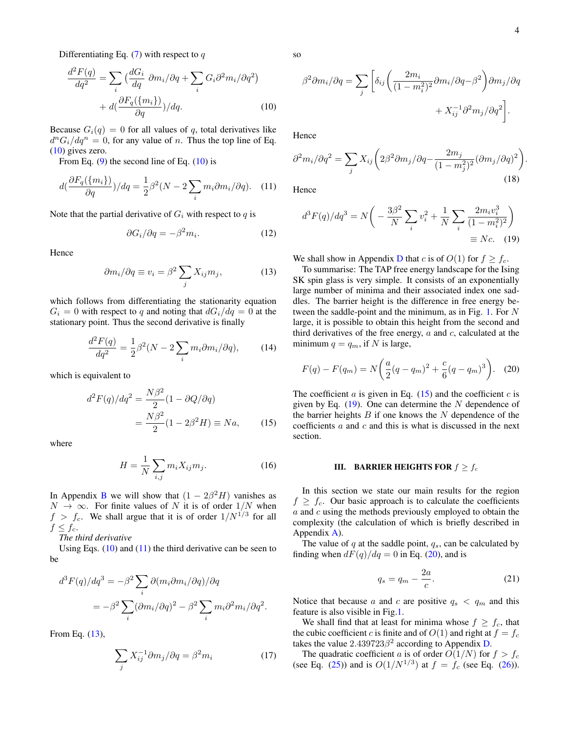Differentiating Eq.  $(7)$  with respect to q

<span id="page-3-2"></span>
$$
\frac{d^2F(q)}{dq^2} = \sum_{i} \left( \frac{dG_i}{dq} \partial m_i / \partial q + \sum_{i} G_i \partial^2 m_i / \partial q^2 \right) + d\left( \frac{\partial F_q(\{m_i\})}{\partial q} \right) / dq. \tag{10}
$$

Because  $G_i(q) = 0$  for all values of q, total derivatives like  $d^n G_i / dq^n = 0$ , for any value of n. Thus the top line of Eq. [\(10\)](#page-3-2) gives zero.

From Eq.  $(9)$  the second line of Eq.  $(10)$  is

<span id="page-3-3"></span>
$$
d\left(\frac{\partial F_q(\{m_i\})}{\partial q}\right)/dq = \frac{1}{2}\beta^2(N - 2\sum_i m_i \partial m_i/\partial q). \quad (11)
$$

Note that the partial derivative of  $G_i$  with respect to q is

$$
\partial G_i / \partial q = -\beta^2 m_i. \tag{12}
$$

Hence

<span id="page-3-4"></span>
$$
\partial m_i / \partial q \equiv v_i = \beta^2 \sum_j X_{ij} m_j, \qquad (13)
$$

which follows from differentiating the stationarity equation  $G_i = 0$  with respect to q and noting that  $dG_i/dq = 0$  at the stationary point. Thus the second derivative is finally

$$
\frac{d^2F(q)}{dq^2} = \frac{1}{2}\beta^2(N - 2\sum_i m_i \partial m_i / \partial q),\tag{14}
$$

which is equivalent to

<span id="page-3-5"></span>
$$
d^2F(q)/dq^2 = \frac{N\beta^2}{2}(1 - \partial Q/\partial q)
$$

$$
= \frac{N\beta^2}{2}(1 - 2\beta^2 H) \equiv Na,
$$
 (15)

where

$$
H = \frac{1}{N} \sum_{i,j} m_i X_{ij} m_j.
$$
 (16)

In Appendix [B](#page-7-0) we will show that  $(1 - 2\beta^2 H)$  vanishes as  $N \to \infty$ . For finite values of N it is of order  $1/N$  when  $f > f_c$ . We shall argue that it is of order  $1/N^{1/3}$  for all  $f \leq f_c$ .

*The third derivative*

Using Eqs.  $(10)$  and  $(11)$  the third derivative can be seen to be

$$
d^3F(q)/dq^3 = -\beta^2 \sum_i \partial(m_i \partial m_i/\partial q)/\partial q
$$
  
=  $-\beta^2 \sum_i (\partial m_i/\partial q)^2 - \beta^2 \sum_i m_i \partial^2 m_i/\partial q^2$ .

From Eq. [\(13\)](#page-3-4),

$$
\sum_{j} X_{ij}^{-1} \partial m_j / \partial q = \beta^2 m_i \tag{17}
$$

so

$$
\beta^2 \partial m_i / \partial q = \sum_j \left[ \delta_{ij} \left( \frac{2m_i}{(1 - m_i^2)^2} \partial m_i / \partial q - \beta^2 \right) \partial m_j / \partial q \right. \\ + X_{ij}^{-1} \partial^2 m_j / \partial q^2 \right].
$$

Hence

$$
\partial^2 m_i / \partial q^2 = \sum_j X_{ij} \left( 2\beta^2 \partial m_j / \partial q - \frac{2m_j}{(1 - m_j^2)^2} (\partial m_j / \partial q)^2 \right)
$$
\n(18)

Hence

$$
d^{3}F(q)/dq^{3} = N\left(-\frac{3\beta^{2}}{N}\sum_{i}v_{i}^{2} + \frac{1}{N}\sum_{i}\frac{2m_{i}v_{i}^{3}}{(1-m_{i}^{2})^{2}}\right)
$$

$$
\equiv Nc. \quad (19)
$$

We shall show in Appendix [D](#page-11-0) that c is of  $O(1)$  for  $f \ge f_c$ .

To summarise: The TAP free energy landscape for the Ising SK spin glass is very simple. It consists of an exponentially large number of minima and their associated index one saddles. The barrier height is the difference in free energy between the saddle-point and the minimum, as in Fig. [1.](#page-2-1) For N large, it is possible to obtain this height from the second and third derivatives of the free energy,  $a$  and  $c$ , calculated at the minimum  $q = q_m$ , if N is large,

<span id="page-3-0"></span>
$$
F(q) - F(q_m) = N\left(\frac{a}{2}(q - q_m)^2 + \frac{c}{6}(q - q_m)^3\right).
$$
 (20)

The coefficient  $a$  is given in Eq. [\(15\)](#page-3-5) and the coefficient  $c$  is given by Eq.  $(19)$ . One can determine the N dependence of the barrier heights  $B$  if one knows the  $N$  dependence of the coefficients  $a$  and  $c$  and this is what is discussed in the next section.

### <span id="page-3-1"></span>III. BARRIER HEIGHTS FOR  $f \geq f_c$

In this section we state our main results for the region  $f \ge f_c$ . Our basic approach is to calculate the coefficients  $a$  and  $c$  using the methods previously employed to obtain the complexity (the calculation of which is briefly described in Appendix [A\)](#page-6-0).

The value of  $q$  at the saddle point,  $q_s$ , can be calculated by finding when  $dF(q)/dq = 0$  in Eq. [\(20\)](#page-3-0), and is

<span id="page-3-7"></span>
$$
q_s = q_m - \frac{2a}{c}.\tag{21}
$$

Notice that because a and c are positive  $q_s < q_m$  and this feature is also visible in Fig[.1.](#page-2-1)

We shall find that at least for minima whose  $f \geq f_c$ , that the cubic coefficient c is finite and of  $O(1)$  and right at  $f = f_c$ takes the value  $2.439723\beta^2$  according to Appendix [D.](#page-11-0)

The quadratic coefficient a is of order  $O(1/N)$  for  $f > f_c$ (see Eq. [\(25\)](#page-4-0)) and is  $O(1/N^{1/3})$  at  $f = f_c$  (see Eq. [\(26\)](#page-4-1)). <span id="page-3-6"></span>.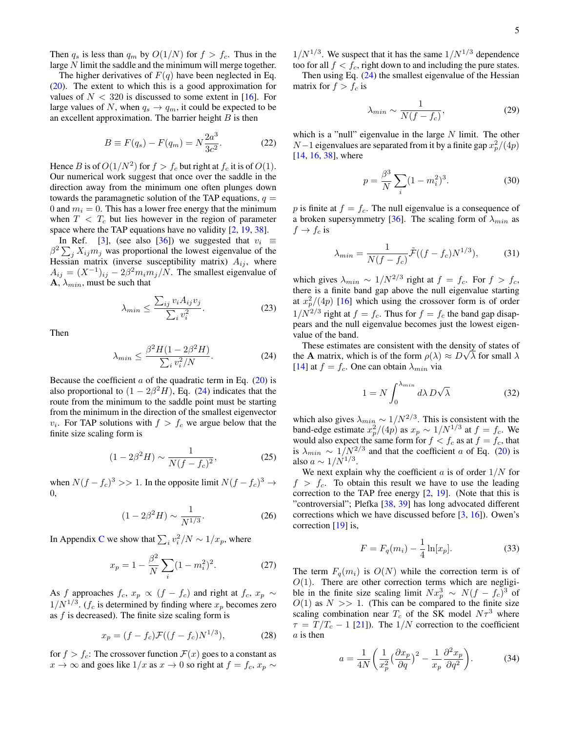Then  $q_s$  is less than  $q_m$  by  $O(1/N)$  for  $f > f_c$ . Thus in the large N limit the saddle and the minimum will merge together.

The higher derivatives of  $F(q)$  have been neglected in Eq. [\(20\)](#page-3-0). The extent to which this is a good approximation for values of  $N < 320$  is discussed to some extent in [\[16\]](#page-12-12). For large values of N, when  $q_s \to q_m$ , it could be expected to be an excellent approximation. The barrier height  $B$  is then

<span id="page-4-3"></span>
$$
B \equiv F(q_s) - F(q_m) = N \frac{2a^3}{3c^2}.
$$
 (22)

Hence B is of  $O(1/N^2)$  for  $f > f_c$  but right at  $f_c$  it is of  $O(1)$ . Our numerical work suggest that once over the saddle in the direction away from the minimum one often plunges down towards the paramagnetic solution of the TAP equations,  $q =$ 0 and  $m_i = 0$ . This has a lower free energy that the minimum when  $T < T_c$  but lies however in the region of parameter space where the TAP equations have no validity  $[2, 19, 38]$  $[2, 19, 38]$  $[2, 19, 38]$  $[2, 19, 38]$  $[2, 19, 38]$ .

In Ref. [\[3\]](#page-12-2), (see also [\[36\]](#page-13-5)) we suggested that  $v_i \equiv$  $\beta^2 \sum_j X_{ij} m_j$  was proportional the lowest eigenvalue of the Hessian matrix (inverse susceptibility matrix)  $A_{ij}$ , where  $A_{ij} = (X^{-1})_{ij} - 2\beta^2 m_i m_j/N$ . The smallest eigenvalue of  $\mathbf{A}, \lambda_{min}$ , must be such that

<span id="page-4-4"></span>
$$
\lambda_{min} \le \frac{\sum_{ij} v_i A_{ij} v_j}{\sum_i v_i^2}.
$$
\n(23)

Then

<span id="page-4-2"></span>
$$
\lambda_{min} \le \frac{\beta^2 H (1 - 2\beta^2 H)}{\sum_i v_i^2 / N}.
$$
 (24)

Because the coefficient  $\alpha$  of the quadratic term in Eq. [\(20\)](#page-3-0) is also proportional to  $(1 - 2\beta^2 H)$ , Eq. [\(24\)](#page-4-2) indicates that the route from the minimum to the saddle point must be starting from the minimum in the direction of the smallest eigenvector  $v_i$ . For TAP solutions with  $f > f_c$  we argue below that the finite size scaling form is

<span id="page-4-0"></span>
$$
(1 - 2\beta^2 H) \sim \frac{1}{N(f - f_c)^2},
$$
\n(25)

when  $N(f - f_c)^3 >> 1$ . In the opposite limit  $N(f - f_c)^3 \rightarrow$ 0,

<span id="page-4-1"></span>
$$
(1 - 2\beta^2 H) \sim \frac{1}{N^{1/3}}.\tag{26}
$$

In Appendix [C](#page-9-0) we show that  $\sum_i v_i^2/N \sim 1/x_p$ , where

$$
x_p = 1 - \frac{\beta^2}{N} \sum_{i} (1 - m_i^2)^2.
$$
 (27)

As f approaches  $f_c$ ,  $x_p \propto (f - f_c)$  and right at  $f_c$ ,  $x_p \sim$  $1/N^{1/3}$ . ( $f_c$  is determined by finding where  $x_p$  becomes zero as  $f$  is decreased). The finite size scaling form is

$$
x_p = (f - f_c)\mathcal{F}((f - f_c)N^{1/3}),
$$
 (28)

for  $f > f_c$ : The crossover function  $\mathcal{F}(x)$  goes to a constant as  $x \to \infty$  and goes like 1/x as  $x \to 0$  so right at  $f = f_c, x_p \sim$ 

 $1/N^{1/3}$ . We suspect that it has the same  $1/N^{1/3}$  dependence too for all  $f < f_c$ , right down to and including the pure states. Then using Eq.  $(24)$  the smallest eigenvalue of the Hessian

matrix for  $f > f_c$  is

$$
\lambda_{min} \sim \frac{1}{N(f - f_c)},\tag{29}
$$

which is a "null" eigenvalue in the large  $N$  limit. The other  $N-1$  eigenvalues are separated from it by a finite gap  $x_p^2/(4p)$  $[14, 16, 38]$  $[14, 16, 38]$  $[14, 16, 38]$  $[14, 16, 38]$  $[14, 16, 38]$ , where

$$
p = \frac{\beta^3}{N} \sum_{i} (1 - m_i^2)^3.
$$
 (30)

p is finite at  $f = f_c$ . The null eigenvalue is a consequence of a broken supersymmetry [\[36\]](#page-13-5). The scaling form of  $\lambda_{min}$  as  $f \rightarrow f_c$  is

$$
\lambda_{min} = \frac{1}{N(f - f_c)} \tilde{\mathcal{F}}((f - f_c)N^{1/3}),\tag{31}
$$

which gives  $\lambda_{min} \sim 1/N^{2/3}$  right at  $f = f_c$ . For  $f > f_c$ , there is a finite band gap above the null eigenvalue starting at  $x_p^2/(4p)$  [\[16\]](#page-12-12) which using the crossover form is of order  $1/N^{2/3}$  right at  $f = f_c$ . Thus for  $f = f_c$  the band gap disappears and the null eigenvalue becomes just the lowest eigenvalue of the band.

These estimates are consistent with the density of states of the **A** matrix, which is of the form  $\rho(\lambda) \approx D\sqrt{\lambda}$  for small  $\lambda$ [\[14\]](#page-12-10) at  $f = f_c$ . One can obtain  $\lambda_{min}$  via

$$
1 = N \int_0^{\lambda_{min}} d\lambda \, D\sqrt{\lambda} \tag{32}
$$

which also gives  $\lambda_{min} \sim 1/N^{2/3}$ . This is consistent with the band-edge estimate  $x_p^2/(4p)$  as  $x_p \sim 1/N^{1/3}$  at  $f = f_c$ . We would also expect the same form for  $f < f_c$  as at  $f = f_c$ , that is  $\lambda_{min} \sim 1/N^{2/3}$  and that the coefficient a of Eq. [\(20\)](#page-3-0) is also  $a \sim 1/N^{1/3}$ .

We next explain why the coefficient  $a$  is of order  $1/N$  for  $f > f_c$ . To obtain this result we have to use the leading correction to the TAP free energy  $[2, 19]$  $[2, 19]$  $[2, 19]$ . (Note that this is "controversial"; Plefka [\[38,](#page-13-7) [39\]](#page-13-8) has long advocated different corrections which we have discussed before [\[3,](#page-12-2) [16\]](#page-12-12)). Owen's correction [\[19\]](#page-12-15) is,

$$
F = F_q(m_i) - \frac{1}{4} \ln[x_p].
$$
 (33)

The term  $F_q(m_i)$  is  $O(N)$  while the correction term is of  $O(1)$ . There are other correction terms which are negligible in the finite size scaling limit  $Nx_p^3 \sim N(f - f_c)^3$  of  $O(1)$  as  $N \gg 1$ . (This can be compared to the finite size scaling combination near  $T_c$  of the SK model  $N\tau^3$  where  $\tau = T/T_c - 1$  [\[21\]](#page-12-17)). The 1/N correction to the coefficient a is then

$$
a = \frac{1}{4N} \left( \frac{1}{x_p^2} \left( \frac{\partial x_p}{\partial q} \right)^2 - \frac{1}{x_p} \frac{\partial^2 x_p}{\partial q^2} \right).
$$
 (34)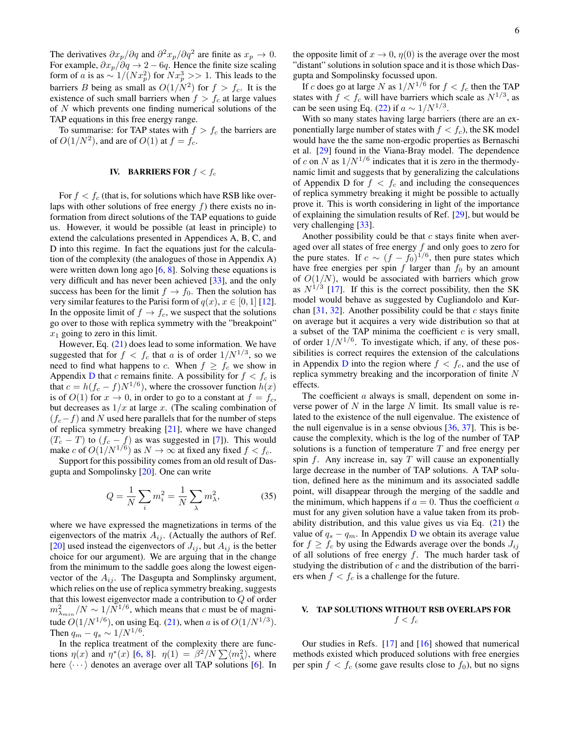The derivatives  $\partial x_p / \partial q$  and  $\partial^2 x_p / \partial q^2$  are finite as  $x_p \to 0$ . For example,  $\partial x_p/\partial q \to 2-6q$ . Hence the finite size scaling form of a is as  $\sim 1/(Nx_p^2)$  for  $Nx_p^3 >> 1$ . This leads to the barriers B being as small as  $O(1/N^2)$  for  $f > f_c$ . It is the existence of such small barriers when  $f > f_c$  at large values of  $N$  which prevents one finding numerical solutions of the TAP equations in this free energy range.

To summarise: for TAP states with  $f > f_c$  the barriers are of  $O(1/N^2)$ , and are of  $O(1)$  at  $f = f_c$ .

### <span id="page-5-1"></span>IV. BARRIERS FOR  $f < f_c$

For  $f < f_c$  (that is, for solutions which have RSB like overlaps with other solutions of free energy  $f$ ) there exists no information from direct solutions of the TAP equations to guide us. However, it would be possible (at least in principle) to extend the calculations presented in Appendices A, B, C, and D into this regime. In fact the equations just for the calculation of the complexity (the analogues of those in Appendix A) were written down long ago  $[6, 8]$  $[6, 8]$  $[6, 8]$ . Solving these equations is very difficult and has never been achieved [\[33\]](#page-13-2), and the only success has been for the limit  $f \to f_0$ . Then the solution has very similar features to the Parisi form of  $q(x)$ ,  $x \in [0, 1]$  [\[12\]](#page-12-24). In the opposite limit of  $f \to f_c$ , we suspect that the solutions go over to those with replica symmetry with the "breakpoint"  $x_1$  going to zero in this limit.

However, Eq. [\(21\)](#page-3-7) does lead to some information. We have suggested that for  $f < f_c$  that a is of order  $1/N^{1/3}$ , so we need to find what happens to c. When  $f \ge f_c$  we show in Appendix [D](#page-11-0) that c remains finite. A possibility for  $f < f_c$  is that  $c = h(f_c - f)N^{1/6}$ , where the crossover function  $h(x)$ is of  $O(1)$  for  $x \to 0$ , in order to go to a constant at  $f = f_c$ , but decreases as  $1/x$  at large x. (The scaling combination of  $(f<sub>c</sub>-f)$  and N used here parallels that for the number of steps of replica symmetry breaking [\[21\]](#page-12-17), where we have changed  $(T_c - T)$  to  $(f_c - f)$  as was suggested in [\[7\]](#page-12-5)). This would make c of  $O(1/N^{1/6})$  as  $N \to \infty$  at fixed any fixed  $f < f_c$ .

Support for this possibility comes from an old result of Dasgupta and Sompolinsky [\[20\]](#page-12-16). One can write

$$
Q = \frac{1}{N} \sum_{i} m_i^2 = \frac{1}{N} \sum_{\lambda} m_{\lambda}^2,
$$
 (35)

where we have expressed the magnetizations in terms of the eigenvectors of the matrix  $A_{ij}$ . (Actually the authors of Ref. [\[20\]](#page-12-16) used instead the eigenvectors of  $J_{ij}$ , but  $A_{ij}$  is the better choice for our argument). We are arguing that in the change from the minimum to the saddle goes along the lowest eigenvector of the  $A_{ij}$ . The Dasgupta and Somplinsky argument, which relies on the use of replica symmetry breaking, suggests that this lowest eigenvector made a contribution to Q of order  $m_{\lambda_{min}}^2/N \sim 1/N^{1/6}$ , which means that c must be of magnitude  $O(1/N^{1/6})$ , on using Eq. [\(21\)](#page-3-7), when a is of  $O(1/N^{1/3})$ . Then  $q_m - q_s \sim 1/N^{1/6}$ .

In the replica treatment of the complexity there are functions  $\eta(x)$  and  $\eta^*(x)$  [\[6,](#page-12-7) [8\]](#page-12-6).  $\eta(1) = \beta^2/N \sum \langle m_\lambda^2 \rangle$ , where here  $\langle \cdots \rangle$  denotes an average over all TAP solutions [\[6\]](#page-12-7). In 6

the opposite limit of  $x \to 0$ ,  $\eta(0)$  is the average over the most "distant" solutions in solution space and it is those which Dasgupta and Sompolinsky focussed upon.

If c does go at large N as  $1/N^{1/6}$  for  $f < f_c$  then the TAP states with  $f < f_c$  will have barriers which scale as  $N^{1/3}$ , as can be seen using Eq. [\(22\)](#page-4-3) if  $a \sim 1/N^{1/3}$ .

With so many states having large barriers (there are an exponentially large number of states with  $f < f_c$ ), the SK model would have the the same non-ergodic properties as Bernaschi et al. [\[29\]](#page-12-22) found in the Viana-Bray model. The dependence of c on N as  $1/N^{1/6}$  indicates that it is zero in the thermodynamic limit and suggests that by generalizing the calculations of Appendix D for  $f < f_c$  and including the consequences of replica symmetry breaking it might be possible to actually prove it. This is worth considering in light of the importance of explaining the simulation results of Ref. [\[29\]](#page-12-22), but would be very challenging [\[33\]](#page-13-2).

Another possibility could be that  $c$  stays finite when averaged over all states of free energy f and only goes to zero for the pure states. If  $c \sim (f - f_0)^{1/6}$ , then pure states which have free energies per spin  $f$  larger than  $f_0$  by an amount of  $O(1/N)$ , would be associated with barriers which grow as  $N^{1/3}$  [\[17\]](#page-12-13). If this is the correct possibility, then the SK model would behave as suggested by Cugliandolo and Kurchan  $[31, 32]$  $[31, 32]$  $[31, 32]$ . Another possibility could be that c stays finite on average but it acquires a very wide distribution so that at a subset of the TAP minima the coefficient  $c$  is very small, of order  $1/N^{1/6}$ . To investigate which, if any, of these possibilities is correct requires the extension of the calculations in Appendix [D](#page-11-0) into the region where  $f < f_c$ , and the use of replica symmetry breaking and the incorporation of finite N effects.

The coefficient  $a$  always is small, dependent on some inverse power of  $N$  in the large  $N$  limit. Its small value is related to the existence of the null eigenvalue. The existence of the null eigenvalue is in a sense obvious [\[36,](#page-13-5) [37\]](#page-13-6). This is because the complexity, which is the log of the number of TAP solutions is a function of temperature  $T$  and free energy per spin  $f$ . Any increase in, say  $T$  will cause an exponentially large decrease in the number of TAP solutions. A TAP solution, defined here as the minimum and its associated saddle point, will disappear through the merging of the saddle and the minimum, which happens if  $a = 0$ . Thus the coefficient a must for any given solution have a value taken from its probability distribution, and this value gives us via Eq. [\(21\)](#page-3-7) the value of  $q_s - q_m$ . In Appendix [D](#page-11-0) we obtain its average value for  $f \ge f_c$  by using the Edwards average over the bonds  $J_{ij}$ of all solutions of free energy  $f$ . The much harder task of studying the distribution of  $c$  and the distribution of the barriers when  $f < f_c$  is a challenge for the future.

### <span id="page-5-0"></span>V. TAP SOLUTIONS WITHOUT RSB OVERLAPS FOR  $f < f_c$

Our studies in Refs. [\[17\]](#page-12-13) and [\[16\]](#page-12-12) showed that numerical methods existed which produced solutions with free energies per spin  $f < f_c$  (some gave results close to  $f_0$ ), but no signs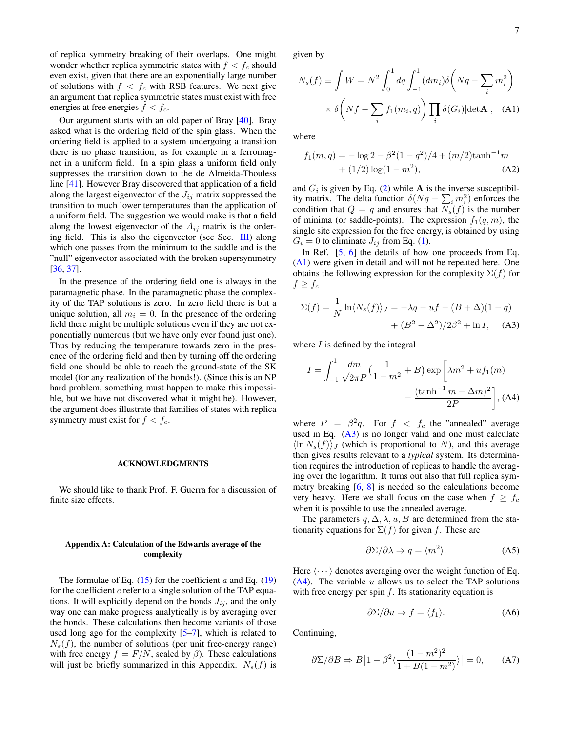of replica symmetry breaking of their overlaps. One might wonder whether replica symmetric states with  $f < f_c$  should even exist, given that there are an exponentially large number of solutions with  $f < f_c$  with RSB features. We next give an argument that replica symmetric states must exist with free energies at free energies  $f < f_c$ .

Our argument starts with an old paper of Bray [\[40\]](#page-13-9). Bray asked what is the ordering field of the spin glass. When the ordering field is applied to a system undergoing a transition there is no phase transition, as for example in a ferromagnet in a uniform field. In a spin glass a uniform field only suppresses the transition down to the de Almeida-Thouless line [\[41\]](#page-13-10). However Bray discovered that application of a field along the largest eigenvector of the  $J_{ij}$  matrix suppressed the transition to much lower temperatures than the application of a uniform field. The suggestion we would make is that a field along the lowest eigenvector of the  $A_{ij}$  matrix is the ordering field. This is also the eigenvector (see Sec. [III\)](#page-3-1) along which one passes from the minimum to the saddle and is the "null" eigenvector associated with the broken supersymmetry [\[36,](#page-13-5) [37\]](#page-13-6).

In the presence of the ordering field one is always in the paramagnetic phase. In the paramagnetic phase the complexity of the TAP solutions is zero. In zero field there is but a unique solution, all  $m_i = 0$ . In the presence of the ordering field there might be multiple solutions even if they are not exponentially numerous (but we have only ever found just one). Thus by reducing the temperature towards zero in the presence of the ordering field and then by turning off the ordering field one should be able to reach the ground-state of the SK model (for any realization of the bonds!). (Since this is an NP hard problem, something must happen to make this impossible, but we have not discovered what it might be). However, the argument does illustrate that families of states with replica symmetry must exist for  $f < f_c$ .

#### ACKNOWLEDGMENTS

We should like to thank Prof. F. Guerra for a discussion of finite size effects.

#### <span id="page-6-0"></span>Appendix A: Calculation of the Edwards average of the complexity

The formulae of Eq.  $(15)$  for the coefficient a and Eq.  $(19)$ for the coefficient  $c$  refer to a single solution of the TAP equations. It will explicitly depend on the bonds  $J_{ij}$ , and the only way one can make progress analytically is by averaging over the bonds. These calculations then become variants of those used long ago for the complexity [\[5–](#page-12-4)[7\]](#page-12-5), which is related to  $N<sub>s</sub>(f)$ , the number of solutions (per unit free-energy range) with free energy  $f = F/N$ , scaled by  $\beta$ ). These calculations will just be briefly summarized in this Appendix.  $N_s(f)$  is

given by

<span id="page-6-1"></span>
$$
N_s(f) \equiv \int W = N^2 \int_0^1 dq \int_{-1}^1 (dm_i) \delta \left( Nq - \sum_i m_i^2 \right) \times \delta \left( Nf - \sum_i f_1(m_i, q) \right) \prod_i \delta(G_i) |\text{det} \mathbf{A}|, \quad (A1)
$$

where

$$
f_1(m,q) = -\log 2 - \beta^2 (1 - q^2)/4 + (m/2) \tanh^{-1} m
$$
  
+ (1/2) log(1 - m<sup>2</sup>), (A2)

and  $G_i$  is given by Eq. [\(2\)](#page-2-0) while **A** is the inverse susceptibility matrix. The delta function  $\delta(Nq - \sum_i m_i^2)$  enforces the condition that  $Q = q$  and ensures that  $N_s(f)$  is the number of minima (or saddle-points). The expression  $f_1(q, m)$ , the single site expression for the free energy, is obtained by using  $G_i = 0$  to eliminate  $J_{ij}$  from Eq. [\(1\)](#page-1-1).

In Ref. [\[5,](#page-12-4) [6\]](#page-12-7) the details of how one proceeds from Eq. [\(A1\)](#page-6-1) were given in detail and will not be repeated here. One obtains the following expression for the complexity  $\Sigma(f)$  for  $f \geq f_c$ 

<span id="page-6-2"></span>
$$
\Sigma(f) = \frac{1}{N} \ln \langle N_s(f) \rangle_J = -\lambda q - uf - (B + \Delta)(1 - q)
$$

$$
+ (B^2 - \Delta^2)/2\beta^2 + \ln I, \quad \text{(A3)}
$$

where  $I$  is defined by the integral

<span id="page-6-3"></span>
$$
I = \int_{-1}^{1} \frac{dm}{\sqrt{2\pi P}} \left( \frac{1}{1 - m^2} + B \right) \exp\left[ \lambda m^2 + u f_1(m) - \frac{(\tanh^{-1} m - \Delta m)^2}{2P} \right],
$$
 (A4)

where  $P = \beta^2 q$ . For  $f < f_c$  the "annealed" average used in Eq.  $(A3)$  is no longer valid and one must calculate  $\langle \ln N_s(f) \rangle$  (which is proportional to N), and this average then gives results relevant to a *typical* system. Its determination requires the introduction of replicas to handle the averaging over the logarithm. It turns out also that full replica symmetry breaking [\[6,](#page-12-7) [8\]](#page-12-6) is needed so the calculations become very heavy. Here we shall focus on the case when  $f \geq f_c$ when it is possible to use the annealed average.

The parameters  $q, \Delta, \lambda, u, B$  are determined from the stationarity equations for  $\Sigma(f)$  for given f. These are

<span id="page-6-4"></span>
$$
\partial \Sigma / \partial \lambda \Rightarrow q = \langle m^2 \rangle. \tag{A5}
$$

Here  $\langle \cdots \rangle$  denotes averaging over the weight function of Eq.  $(A4)$ . The variable u allows us to select the TAP solutions with free energy per spin  $f$ . Its stationarity equation is

$$
\partial \Sigma / \partial u \Rightarrow f = \langle f_1 \rangle. \tag{A6}
$$

Continuing,

$$
\partial \Sigma / \partial B \Rightarrow B \left[ 1 - \beta^2 \langle \frac{(1 - m^2)^2}{1 + B(1 - m^2)} \rangle \right] = 0, \quad \text{(A7)}
$$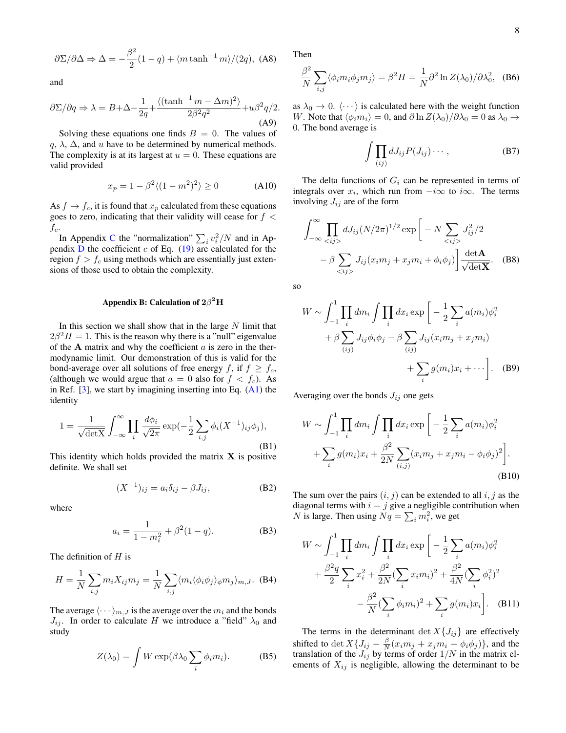$$
\frac{\partial \Sigma}{\partial \Delta} \Rightarrow \Delta = -\frac{\beta^2}{2}(1-q) + \langle m \tanh^{-1} m \rangle / (2q), \text{ (A8)}
$$

and

<span id="page-7-1"></span>
$$
\frac{\partial \Sigma}{\partial q} \Rightarrow \lambda = B + \Delta - \frac{1}{2q} + \frac{\langle (\tanh^{-1} m - \Delta m)^2 \rangle}{2\beta^2 q^2} + u\beta^2 q/2.
$$
\n(A9)

Solving these equations one finds  $B = 0$ . The values of  $q, \lambda, \Delta$ , and u have to be determined by numerical methods. The complexity is at its largest at  $u = 0$ . These equations are valid provided

$$
x_p = 1 - \beta^2 \langle (1 - m^2)^2 \rangle \ge 0 \tag{A10}
$$

As  $f \to f_c$ , it is found that  $x_p$  calculated from these equations goes to zero, indicating that their validity will cease for  $f <$  $f_c$ .

In Appendix [C](#page-9-0) the "normalization"  $\sum_i v_i^2/N$  and in Appendix  $D$  the coefficient  $c$  of Eq. [\(19\)](#page-3-6) are calculated for the region  $f > f_c$  using methods which are essentially just extensions of those used to obtain the complexity.

### <span id="page-7-0"></span>Appendix B: Calculation of  $2\beta^2\rm{H}$

In this section we shall show that in the large  $N$  limit that  $2\beta^2 H = 1$ . This is the reason why there is a "null" eigenvalue of the  $A$  matrix and why the coefficient  $a$  is zero in the thermodynamic limit. Our demonstration of this is valid for the bond-average over all solutions of free energy f, if  $f \ge f_c$ , (although we would argue that  $a = 0$  also for  $f < f_c$ ). As in Ref.  $[3]$ , we start by imagining inserting into Eq.  $(A1)$  the identity

$$
1 = \frac{1}{\sqrt{\det X}} \int_{-\infty}^{\infty} \prod_{i} \frac{d\phi_i}{\sqrt{2\pi}} \exp(-\frac{1}{2} \sum_{i,j} \phi_i (X^{-1})_{ij} \phi_j),
$$
\n(B1)

This identity which holds provided the matrix  $X$  is positive definite. We shall set

$$
(X^{-1})_{ij} = a_i \delta_{ij} - \beta J_{ij}, \tag{B2}
$$

where

$$
a_i = \frac{1}{1 - m_i^2} + \beta^2 (1 - q).
$$
 (B3)

The definition of  $H$  is

$$
H = \frac{1}{N} \sum_{i,j} m_i X_{ij} m_j = \frac{1}{N} \sum_{i,j} \langle m_i \langle \phi_i \phi_j \rangle_{\phi} m_j \rangle_{m,J}.
$$
 (B4)

The average  $\langle \cdots \rangle_{m,J}$  is the average over the  $m_i$  and the bonds  $J_{ij}$ . In order to calculate H we introduce a "field"  $\lambda_0$  and study

$$
Z(\lambda_0) = \int W \exp(\beta \lambda_0 \sum_i \phi_i m_i).
$$
 (B5)

Then

$$
\frac{\beta^2}{N} \sum_{i,j} \langle \phi_i m_i \phi_j m_j \rangle = \beta^2 H = \frac{1}{N} \partial^2 \ln Z(\lambda_0) / \partial \lambda_0^2, \quad (B6)
$$

as  $\lambda_0 \rightarrow 0$ .  $\langle \cdots \rangle$  is calculated here with the weight function W. Note that  $\langle \phi_i m_i \rangle = 0$ , and  $\partial \ln Z(\lambda_0)/\partial \lambda_0 = 0$  as  $\lambda_0 \rightarrow$ 0. The bond average is

$$
\int \prod_{(ij)} dJ_{ij} P(J_{ij}) \cdots , \qquad (B7)
$$

The delta functions of  $G_i$  can be represented in terms of integrals over  $x_i$ , which run from  $-i\infty$  to  $i\infty$ . The terms involving  $J_{ij}$  are of the form

$$
\int_{-\infty}^{\infty} \prod_{} dJ_{ij} (N/2\pi)^{1/2} \exp \left[ -N \sum_{} J_{ij}^2/2 -\beta \sum_{} J_{ij} (x_i m_j + x_j m_i + \phi_i \phi_j) \right] \frac{\det \mathbf{A}}{\sqrt{\det \mathbf{X}}}.
$$
 (B8)

so

$$
W \sim \int_{-1}^{1} \prod_{i} dm_i \int \prod_{i} dx_i \exp \left[ -\frac{1}{2} \sum_{i} a(m_i) \phi_i^2 + \beta \sum_{(ij)} J_{ij} \phi_i \phi_j - \beta \sum_{(ij)} J_{ij} (x_i m_j + x_j m_i) + \sum_{i} g(m_i) x_i + \cdots \right].
$$
 (B9)

Averaging over the bonds  $J_{ij}$  one gets

<span id="page-7-2"></span>
$$
W \sim \int_{-1}^{1} \prod_{i} dm_i \int \prod_{i} dx_i \exp \left[ -\frac{1}{2} \sum_{i} a(m_i) \phi_i^2 + \sum_{i} g(m_i) x_i + \frac{\beta^2}{2N} \sum_{(i,j)} (x_i m_j + x_j m_i - \phi_i \phi_j)^2 \right].
$$
\n(B10)

The sum over the pairs  $(i, j)$  can be extended to all  $i, j$  as the diagonal terms with  $i = j$  give a negligible contribution when N is large. Then using  $Nq = \sum_i m_i^2$ , we get

$$
W \sim \int_{-1}^{1} \prod_{i} dm_{i} \int \prod_{i} dx_{i} \exp \left[ -\frac{1}{2} \sum_{i} a(m_{i}) \phi_{i}^{2} + \frac{\beta^{2} q}{2} \sum_{i} x_{i}^{2} + \frac{\beta^{2}}{2N} (\sum_{i} x_{i} m_{i})^{2} + \frac{\beta^{2}}{4N} (\sum_{i} \phi_{i}^{2})^{2} - \frac{\beta^{2}}{N} (\sum_{i} \phi_{i} m_{i})^{2} + \sum_{i} g(m_{i}) x_{i} \right].
$$
 (B11)

The terms in the determinant det  $X\{J_{ij}\}\$ are effectively shifted to det  $X\{J_{ij} - \frac{\beta}{N}(x_i m_j + x_j m_i - \phi_i \phi_j)\}\$ , and the translation of the  $J_{ij}$  by terms of order  $1/N$  in the matrix elements of  $X_{ij}$  is negligible, allowing the determinant to be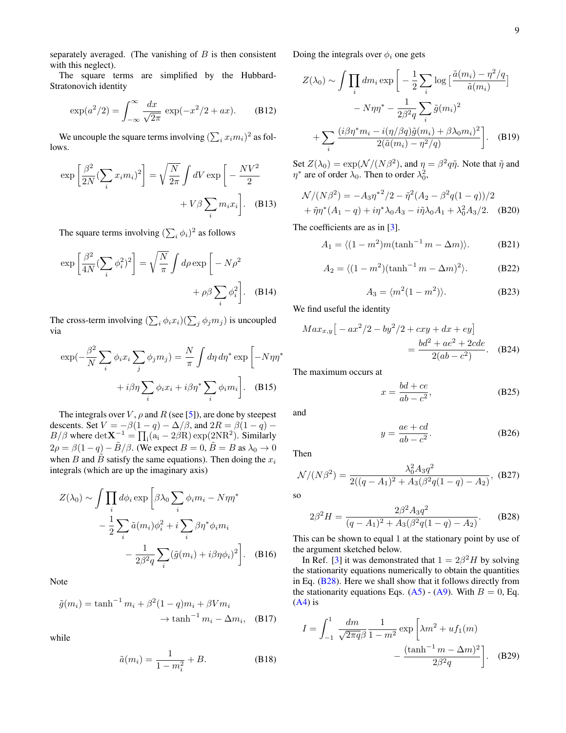separately averaged. (The vanishing of  $B$  is then consistent with this neglect).

The square terms are simplified by the Hubbard-Stratonovich identity

$$
\exp(a^2/2) = \int_{-\infty}^{\infty} \frac{dx}{\sqrt{2\pi}} \exp(-x^2/2 + ax). \quad (B12)
$$

We uncouple the square terms involving  $(\sum_i x_i m_i)^2$  as follows.

$$
\exp\left[\frac{\beta^2}{2N}(\sum_i x_i m_i)^2\right] = \sqrt{\frac{N}{2\pi}} \int dV \exp\left[-\frac{NV^2}{2} + V\beta \sum_i m_i x_i\right].
$$
 (B13)

The square terms involving  $(\sum_i \phi_i)^2$  as follows

$$
\exp\left[\frac{\beta^2}{4N}(\sum_i \phi_i^2)^2\right] = \sqrt{\frac{N}{\pi}} \int d\rho \exp\left[-N\rho^2 + \rho\beta \sum_i \phi_i^2\right].
$$
 (B14)

The cross-term involving  $(\sum_i \phi_i x_i)(\sum_j \phi_j m_j)$  is uncoupled via

$$
\exp(-\frac{\beta^2}{N}\sum_{i}\phi_i x_i \sum_{j}\phi_j m_j) = \frac{N}{\pi} \int d\eta d\eta^* \exp\left[-N\eta\eta^* + i\beta\eta \sum_{i}\phi_i x_i + i\beta\eta^* \sum_{i}\phi_i m_i\right].
$$
 (B15)

The integrals over V,  $\rho$  and R (see [\[5\]](#page-12-4)), are done by steepest descents. Set  $V = -\beta(1-q) - \Delta/\beta$ , and  $2R = \beta(1-q) - \beta$ B/ $\beta$  where  $\det X^{-1} = \prod_i (a_i - 2\beta R) \exp(2NR^2)$ . Similarly  $2\rho = \beta(1-q) - \tilde{B}/\beta$ . (We expect  $B = 0$ ,  $\tilde{B} = B$  as  $\lambda_0 \to 0$ when B and B satisfy the same equations). Then doing the  $x_i$ integrals (which are up the imaginary axis)

$$
Z(\lambda_0) \sim \int \prod_i d\phi_i \exp \left[ \beta \lambda_0 \sum_i \phi_i m_i - N \eta \eta^* - \frac{1}{2} \sum_i \tilde{a}(m_i) \phi_i^2 + i \sum_i \beta \eta^* \phi_i m_i - \frac{1}{2\beta^2 q} \sum_i (\tilde{g}(m_i) + i\beta \eta \phi_i)^2 \right].
$$
 (B16)

Note

$$
\tilde{g}(m_i) = \tanh^{-1} m_i + \beta^2 (1 - q) m_i + \beta V m_i
$$

$$
\rightarrow \tanh^{-1} m_i - \Delta m_i, \quad (B17)
$$

while

$$
\tilde{a}(m_i) = \frac{1}{1 - m_i^2} + B.
$$
 (B18)

Doing the integrals over  $\phi_i$  one gets

$$
Z(\lambda_0) \sim \int \prod_i dm_i \exp \left[ -\frac{1}{2} \sum_i \log \left[ \frac{\tilde{a}(m_i) - \eta^2 / q}{\tilde{a}(m_i)} \right] - N \eta \eta^* - \frac{1}{2\beta^2 q} \sum_i \tilde{g}(m_i)^2 + \sum_i \frac{(i\beta \eta^* m_i - i(\eta/\beta q) \tilde{g}(m_i) + \beta \lambda_0 m_i)^2}{2(\tilde{a}(m_i) - \eta^2 / q)} \right].
$$
 (B19)

Set  $Z(\lambda_0) = \exp(N/(N\beta^2))$ , and  $\eta = \beta^2 q \tilde{\eta}$ . Note that  $\tilde{\eta}$  and  $\eta^*$  are of order  $\lambda_0$ . Then to order  $\lambda_0^2$ ,

$$
\mathcal{N}/(N\beta^2) = -A_3 \eta^{*2} / 2 - \tilde{\eta}^2 (A_2 - \beta^2 q (1 - q)) / 2 + \tilde{\eta} \eta^* (A_1 - q) + i \eta^* \lambda_0 A_3 - i \tilde{\eta} \lambda_0 A_1 + \lambda_0^2 A_3 / 2.
$$
 (B20)

The coefficients are as in [\[3\]](#page-12-2).

 $A_1 = \langle (1 - m^2)m(\tanh^{-1} m - \Delta m) \rangle.$  (B21)

$$
A_2 = \langle (1 - m^2)(\tanh^{-1} m - \Delta m)^2 \rangle.
$$
 (B22)

$$
A_3 = \langle m^2(1 - m^2) \rangle.
$$
 (B23)

We find useful the identity

$$
Max_{x,y} \left[ -ax^2/2 - by^2/2 + cxy + dx + ey \right]
$$
  
= 
$$
\frac{bd^2 + ae^2 + 2cde}{2(ab - c^2)}.
$$
 (B24)

The maximum occurs at

<span id="page-8-1"></span>
$$
x = \frac{bd + ce}{ab - c^2},
$$
 (B25)

and

$$
y = \frac{ae + cd}{ab - c^2}.
$$
 (B26)

Then

$$
\mathcal{N}/(N\beta^2) = \frac{\lambda_0^2 A_3 q^2}{2((q - A_1)^2 + A_3(\beta^2 q(1 - q) - A_2)}, \text{ (B27)}
$$

so

<span id="page-8-0"></span>
$$
2\beta^2 H = \frac{2\beta^2 A_3 q^2}{(q - A_1)^2 + A_3(\beta^2 q(1 - q) - A_2)}.
$$
 (B28)

This can be shown to equal 1 at the stationary point by use of the argument sketched below.

In Ref. [\[3\]](#page-12-2) it was demonstrated that  $1 = 2\beta^2 H$  by solving the stationarity equations numerically to obtain the quantities in Eq. [\(B28\)](#page-8-0). Here we shall show that it follows directly from the stationarity equations Eqs. [\(A5\)](#page-6-4) - [\(A9\)](#page-7-1). With  $B = 0$ , Eq.  $(A4)$  is

$$
I = \int_{-1}^{1} \frac{dm}{\sqrt{2\pi q}\beta} \frac{1}{1 - m^2} \exp\left[\lambda m^2 + u f_1(m) - \frac{(\tanh^{-1} m - \Delta m)^2}{2\beta^2 q}\right].
$$
 (B29)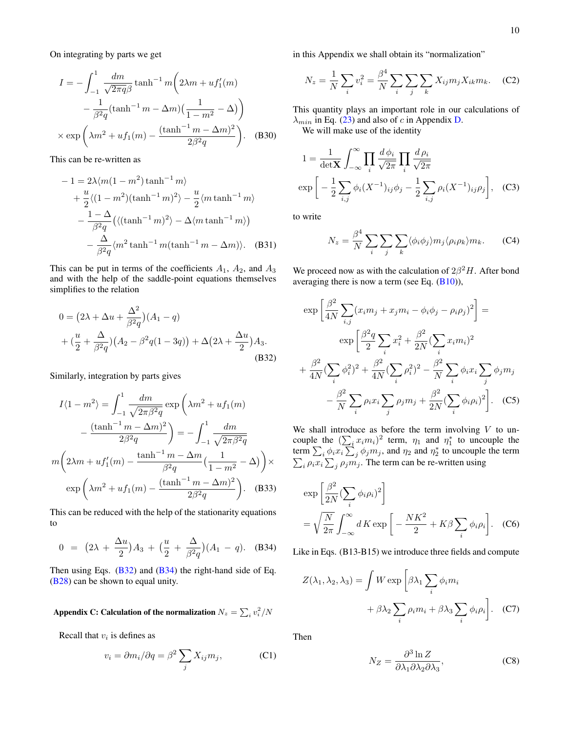On integrating by parts we get

$$
I = -\int_{-1}^{1} \frac{dm}{\sqrt{2\pi q \beta}} \tanh^{-1} m \left( 2\lambda m + u f_1'(m) - \frac{1}{\beta^2 q} (\tanh^{-1} m - \Delta m) \left( \frac{1}{1 - m^2} - \Delta \right) \right)
$$

$$
\times \exp \left( \lambda m^2 + u f_1(m) - \frac{(\tanh^{-1} m - \Delta m)^2}{2\beta^2 q} \right). \quad (B30)
$$

This can be re-written as

$$
-1 = 2\lambda \langle m(1 - m^2) \tanh^{-1} m \rangle
$$
  
+  $\frac{u}{2} \langle (1 - m^2) (\tanh^{-1} m)^2 \rangle - \frac{u}{2} \langle m \tanh^{-1} m \rangle$   
-  $\frac{1 - \Delta}{\beta^2 q} \left( \langle (\tanh^{-1} m)^2 \rangle - \Delta \langle m \tanh^{-1} m \rangle \right)$   
-  $\frac{\Delta}{\beta^2 q} \langle m^2 \tanh^{-1} m (\tanh^{-1} m - \Delta m) \rangle$ . (B31)

This can be put in terms of the coefficients  $A_1$ ,  $A_2$ , and  $A_3$ and with the help of the saddle-point equations themselves simplifies to the relation

$$
0 = (2\lambda + \Delta u + \frac{\Delta^2}{\beta^2 q})(A_1 - q)
$$
  
+  $(\frac{u}{2} + \frac{\Delta}{\beta^2 q})(A_2 - \beta^2 q(1 - 3q)) + \Delta(2\lambda + \frac{\Delta u}{2})A_3.$  (B32)

Similarly, integration by parts gives

$$
I\langle 1 - m^2 \rangle = \int_{-1}^1 \frac{dm}{\sqrt{2\pi\beta^2 q}} \exp\left(\lambda m^2 + uf_1(m)\right)
$$

$$
- \frac{(\tanh^{-1} m - \Delta m)^2}{2\beta^2 q}\right) = -\int_{-1}^1 \frac{dm}{\sqrt{2\pi\beta^2 q}}
$$

$$
m\left(2\lambda m + uf'_1(m) - \frac{\tanh^{-1} m - \Delta m}{\beta^2 q} \left(\frac{1}{1 - m^2} - \Delta\right)\right) \times
$$

$$
\exp\left(\lambda m^2 + uf_1(m) - \frac{(\tanh^{-1} m - \Delta m)^2}{2\beta^2 q}\right). \quad (B33)
$$

This can be reduced with the help of the stationarity equations to

$$
0 = (2\lambda + \frac{\Delta u}{2})A_3 + (\frac{u}{2} + \frac{\Delta}{\beta^2 q})(A_1 - q). \quad (B34)
$$

Then using Eqs.  $(B32)$  and  $(B34)$  the right-hand side of Eq. [\(B28\)](#page-8-0) can be shown to equal unity.

# <span id="page-9-0"></span>Appendix C: Calculation of the normalization  $N_z = \sum_i v_i^2/N$

Recall that  $v_i$  is defines as

$$
v_i = \partial m_i / \partial q = \beta^2 \sum_j X_{ij} m_j,
$$
 (C1)

in this Appendix we shall obtain its "normalization"

$$
N_z = \frac{1}{N} \sum_i v_i^2 = \frac{\beta^4}{N} \sum_i \sum_j \sum_k X_{ij} m_j X_{ik} m_k.
$$
 (C2)

This quantity plays an important role in our calculations of  $\lambda_{min}$  in Eq. [\(23\)](#page-4-4) and also of c in Appendix [D.](#page-11-0)

We will make use of the identity

$$
1 = \frac{1}{\det X} \int_{-\infty}^{\infty} \prod_{i} \frac{d\phi_i}{\sqrt{2\pi}} \prod_{i} \frac{d\rho_i}{\sqrt{2\pi}}
$$

$$
\exp\left[-\frac{1}{2} \sum_{i,j} \phi_i (X^{-1})_{ij} \phi_j - \frac{1}{2} \sum_{i,j} \rho_i (X^{-1})_{ij} \rho_j\right], \quad (C3)
$$

to write

$$
N_z = \frac{\beta^4}{N} \sum_i \sum_j \sum_k \langle \phi_i \phi_j \rangle m_j \langle \rho_i \rho_k \rangle m_k. \tag{C4}
$$

We proceed now as with the calculation of  $2\beta^2 H$ . After bond averaging there is now a term (see Eq.  $(B10)$ ),

<span id="page-9-1"></span>
$$
\exp\left[\frac{\beta^2}{4N}\sum_{i,j}(x_i m_j + x_j m_i - \phi_i \phi_j - \rho_i \rho_j)^2\right] =
$$
  
\n
$$
\exp\left[\frac{\beta^2 q}{2}\sum_i x_i^2 + \frac{\beta^2}{2N}(\sum_i x_i m_i)^2 + \frac{\beta^2}{4N}(\sum_i \phi_i^2)^2 + \frac{\beta^2}{4N}(\sum_i \rho_i^2)^2 - \frac{\beta^2}{N}\sum_i \phi_i x_i \sum_j \phi_j m_j - \frac{\beta^2}{N}\sum_i \rho_i x_i \sum_j \rho_j m_j + \frac{\beta^2}{2N}(\sum_i \phi_i \rho_i)^2\right].
$$
 (C5)

We shall introduce as before the term involving  $V$  to uncouple the  $(\sum_i x_i m_i)^2$  term,  $\eta_1$  and  $\eta_1^*$  to uncouple the term  $\sum_i \phi_i x_i \sum_j \phi_j m_j$ , and  $\eta_2$  and  $\eta_2^*$  to uncouple the term  $\sum_i \rho_i x_i \sum_j \rho_j m_j$ . The term can be re-written using

$$
\exp\left[\frac{\beta^2}{2N}(\sum_i \phi_i \rho_i)^2\right]
$$
  
=  $\sqrt{\frac{N}{2\pi}} \int_{-\infty}^{\infty} dK \exp\left[-\frac{NK^2}{2} + K\beta \sum_i \phi_i \rho_i\right].$  (C6)

<span id="page-9-2"></span>Like in Eqs. (B13-B15) we introduce three fields and compute

$$
Z(\lambda_1, \lambda_2, \lambda_3) = \int W \exp \left[ \beta \lambda_1 \sum_i \phi_i m_i + \beta \lambda_2 \sum_i \rho_i m_i + \beta \lambda_3 \sum_i \phi_i \rho_i \right].
$$
 (C7)

Then

$$
N_Z = \frac{\partial^3 \ln Z}{\partial \lambda_1 \partial \lambda_2 \partial \lambda_3},\tag{C8}
$$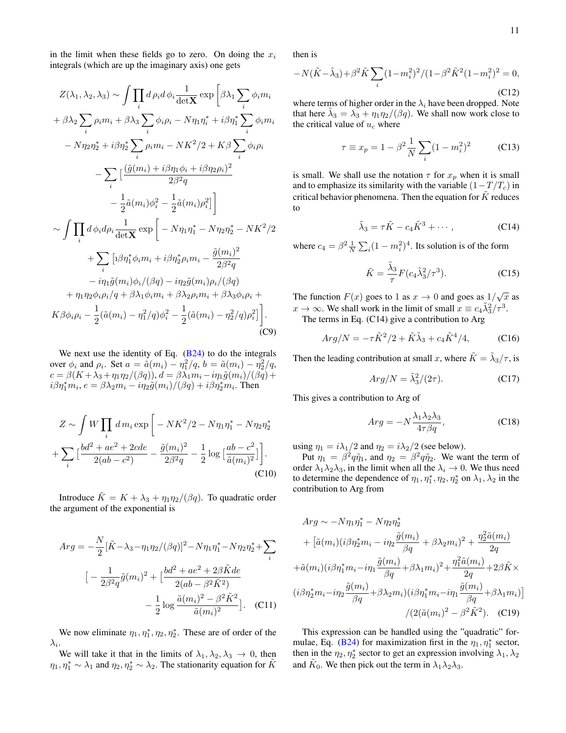in the limit when these fields go to zero. On doing the  $x_i$ integrals (which are up the imaginary axis) one gets

$$
Z(\lambda_1, \lambda_2, \lambda_3) \sim \int \prod_i d\rho_i d\phi_i \frac{1}{\det \mathbf{X}} \exp \left[ \beta \lambda_1 \sum_i \phi_i m_i + \beta \lambda_2 \sum_i \rho_i m_i + \beta \lambda_3 \sum_i \phi_i \rho_i - N \eta_1 \eta_i^* + i \beta \eta_1^* \sum_i \phi_i m_i - N \eta_2 \eta_2^* + i \beta \eta_2^* \sum_i \rho_i m_i - N K^2 / 2 + K \beta \sum_i \phi_i \rho_i - \sum_i \left[ \frac{(\tilde{g}(m_i) + i \beta \eta_1 \phi_i + i \beta \eta_2 \rho_i)^2}{2 \beta^2 q} - \frac{1}{2} \tilde{a}(m_i) \phi_i^2 - \frac{1}{2} \tilde{a}(m_i) \rho_i^2 \right] \right] \sim \int \prod_i d\phi_i d\rho_i \frac{1}{\det \mathbf{X}} \exp \left[ -N \eta_1 \eta_1^* - N \eta_2 \eta_2^* - N K^2 / 2 + \sum_i \left[ 1 \beta \eta_1^* \phi_i m_i + i \beta \eta_2^* \rho_i m_i - \frac{\tilde{g}(m_i)^2}{2 \beta^2 q} - i \eta_1 \tilde{g}(m_i) \phi_i / (\beta q) - i \eta_2 \tilde{g}(m_i) \rho_i / (\beta q) + \eta_1 \eta_2 \phi_i \rho_i / q + \beta \lambda_1 \phi_i m_i + \beta \lambda_2 \rho_i m_i + \beta \lambda_3 \phi_i \rho_i + K \beta \phi_i \rho_i - \frac{1}{2} (\tilde{a}(m_i) - \eta_1^2 / q) \phi_i^2 - \frac{1}{2} (\tilde{a}(m_i) - \eta_2^2 / q) \rho_i^2 \right].
$$
 (C9)

We next use the identity of Eq.  $(B24)$  to do the integrals over  $\phi_i$  and  $\rho_i$ . Set  $a = \tilde{a}(m_i) - \eta_1^2/q$ ,  $b = \tilde{a}(m_i) - \eta_2^2/q$ ,  $c = \beta(K + \lambda_3 + \eta_1 \eta_2/(\beta q))$ ,  $d = \beta \lambda_1 m_i - i \eta_1 \tilde{g}(m_i)/(\beta q) +$  $i\beta\eta_1^*m_i, e = \beta\lambda_2m_i - i\eta_2\tilde{g}(m_i)/(\beta q) + i\beta\eta_2^*m_i$ . Then

$$
Z \sim \int W \prod_{i} dm_{i} \exp \left[ -NK^{2}/2 - N\eta_{1}\eta_{1}^{*} - N\eta_{2}\eta_{2}^{*} + \sum_{i} \left[ \frac{bd^{2} + ae^{2} + 2cde}{2(ab - c^{2})} - \frac{\tilde{g}(m_{i})^{2}}{2\beta^{2}q} - \frac{1}{2}\log\left[\frac{ab - c^{2}}{\tilde{a}(m_{i})^{2}}\right] \right].
$$
\n(C10)

Introduce  $\tilde{K} = K + \lambda_3 + \eta_1 \eta_2 / (\beta q)$ . To quadratic order the argument of the exponential is

$$
Arg = -\frac{N}{2} [\tilde{K} - \lambda_3 - \eta_1 \eta_2 / (\beta q)]^2 - N \eta_1 \eta_1^* - N \eta_2 \eta_2^* + \sum_i
$$
  

$$
[-\frac{1}{2\beta^2 q} \tilde{g}(m_i)^2 + \left[\frac{bd^2 + ae^2 + 2\beta \tilde{K}de}{2(ab - \beta^2 \tilde{K}^2)} - \frac{1}{2} \log \frac{\tilde{a}(m_i)^2 - \beta^2 \tilde{K}^2}{\tilde{a}(m_i)^2}].
$$
 (C11)

We now eliminate  $\eta_1, \eta_1^*, \eta_2, \eta_2^*$ . These are of order of the  $\lambda_i.$ 

We will take it that in the limits of  $\lambda_1, \lambda_2, \lambda_3 \rightarrow 0$ , then  $\eta_1, \eta_1^* \sim \lambda_1$  and  $\eta_2, \eta_2^* \sim \lambda_2$ . The stationarity equation for  $\tilde{K}$ 

then is

$$
-N(\tilde{K} - \tilde{\lambda}_3) + \beta^2 \tilde{K} \sum_{i} (1 - m_i^2)^2 / (1 - \beta^2 \tilde{K}^2 (1 - m_i^2)^2 = 0,
$$
\n(C12)

where terms of higher order in the  $\lambda_i$  have been dropped. Note that here  $\tilde{\lambda}_3 = \lambda_3 + \eta_1 \eta_2 / (\beta q)$ . We shall now work close to the critical value of  $u_c$  where

$$
\tau \equiv x_p = 1 - \beta^2 \frac{1}{N} \sum_{i} (1 - m_i^2)^2
$$
 (C13)

is small. We shall use the notation  $\tau$  for  $x_n$  when it is small and to emphasize its similarity with the variable  $(1-T/T_c)$  in critical behavior phenomena. Then the equation for  $\tilde{K}$  reduces to

$$
\tilde{\lambda}_3 = \tau \tilde{K} - c_4 \tilde{K}^3 + \cdots, \qquad (C14)
$$

where  $c_4 = \beta^2 \frac{1}{N} \sum_i (1 - m_i^2)^4$ . Its solution is of the form

$$
\tilde{K} = \frac{\tilde{\lambda}_3}{\tau} F(c_4 \tilde{\lambda}_3^2 / \tau^3). \tag{C15}
$$

The function  $F(x)$  goes to 1 as  $x \to 0$  and goes as  $1/\sqrt{x}$  as  $x \to \infty$ . We shall work in the limit of small  $x \equiv c_4 \tilde{\lambda}_3^2 / \tau^3$ . The terms in Eq. (C14) give a contribution to Arg

$$
Arg/N = -\tau \tilde{K}^2/2 + \tilde{K}\tilde{\lambda}_3 + c_4 \tilde{K}^4/4, \qquad (C16)
$$

Then the leading contribution at small x, where  $\tilde{K} = \tilde{\lambda}_3 / \tau$ , is

$$
Arg/N = \tilde{\lambda}_3^2/(2\tau). \tag{C17}
$$

This gives a contribution to Arg of

$$
Arg = -N \frac{\lambda_1 \lambda_2 \lambda_3}{4\tau \beta q},
$$
 (C18)

using  $\eta_1 = i\lambda_1/2$  and  $\eta_2 = i\lambda_2/2$  (see below).

Put  $\eta_1 = \beta^2 q \tilde{\eta}_1$ , and  $\eta_2 = \beta^2 q \tilde{\eta}_2$ . We want the term of order  $\lambda_1 \lambda_2 \lambda_3$ , in the limit when all the  $\lambda_i \to 0$ . We thus need to determine the dependence of  $\eta_1, \eta_1^*, \eta_2, \eta_2^*$  on  $\lambda_1, \lambda_2$  in the contribution to Arg from

$$
Arg \sim -N\eta_1 \eta_1^* - N\eta_2 \eta_2^*
$$
  
+ 
$$
[\tilde{a}(m_i)(i\beta \eta_2^* m_i - i\eta_2 \frac{\tilde{g}(m_i)}{\beta q} + \beta \lambda_2 m_i)^2 + \frac{\eta_2^2 \tilde{a}(m_i)}{2q}
$$
  
+ 
$$
\tilde{a}(m_i)(i\beta \eta_1^* m_i - i\eta_1 \frac{\tilde{g}(m_i)}{\beta q} + \beta \lambda_1 m_i)^2 + \frac{\eta_1^2 \tilde{a}(m_i)}{2q} + 2\beta \tilde{K} \times
$$
  

$$
(i\beta \eta_2^* m_i - i\eta_2 \frac{\tilde{g}(m_i)}{\beta q} + \beta \lambda_2 m_i)(i\beta \eta_1^* m_i - i\eta_1 \frac{\tilde{g}(m_i)}{\beta q} + \beta \lambda_1 m_i)]
$$
  

$$
/(2(\tilde{a}(m_i)^2 - \beta^2 \tilde{K}^2).
$$
 (C19)

This expression can be handled using the "quadratic" for-mulae, Eq. [\(B24\)](#page-8-1) for maximization first in the  $\eta_1, \eta_1^*$  sector, then in the  $\eta_2, \eta_2^*$  sector to get an expression involving  $\lambda_1, \lambda_2$ and  $\tilde{K}_0$ . We then pick out the term in  $\lambda_1 \lambda_2 \lambda_3$ .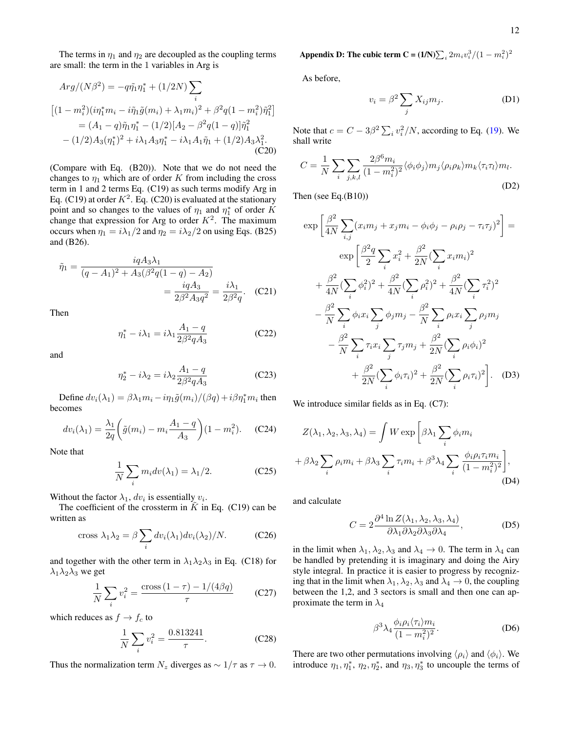The terms in  $\eta_1$  and  $\eta_2$  are decoupled as the coupling terms are small: the term in the 1 variables in Arg is

$$
Arg/(N\beta^2) = -q\tilde{\eta_1}\eta_1^* + (1/2N)\sum_i
$$
  
\n
$$
\left[ (1 - m_i^2)(i\eta_1^*m_i - i\tilde{\eta}_1\tilde{g}(m_i) + \lambda_1m_i)^2 + \beta^2q(1 - m_i^2)\tilde{\eta}_1^2 \right]
$$
  
\n
$$
= (A_1 - q)\tilde{\eta}_1\eta_1^* - (1/2)[A_2 - \beta^2q(1 - q)]\tilde{\eta}_1^2
$$
  
\n
$$
- (1/2)A_3(\eta_1^*)^2 + i\lambda_1A_3\eta_1^* - i\lambda_1A_1\tilde{\eta}_1 + (1/2)A_3\lambda_1^2.
$$
  
\n(C20)

(Compare with Eq. (B20)). Note that we do not need the changes to  $\eta_1$  which are of order K from including the cross term in 1 and 2 terms Eq. (C19) as such terms modify Arg in Eq. (C19) at order  $K^2$ . Eq. (C20) is evaluated at the stationary point and so changes to the values of  $\eta_1$  and  $\eta_1^*$  of order K change that expression for Arg to order  $K^2$ . The maximum occurs when  $\eta_1 = i\lambda_1/2$  and  $\eta_2 = i\lambda_2/2$  on using Eqs. (B25) and (B26).

$$
\tilde{\eta}_1 = \frac{i q A_3 \lambda_1}{(q - A_1)^2 + A_3(\beta^2 q (1 - q) - A_2)} = \frac{i q A_3}{2 \beta^2 A_3 q^2} = \frac{i \lambda_1}{2 \beta^2 q}.
$$
 (C21)

Then

$$
\eta_1^* - i\lambda_1 = i\lambda_1 \frac{A_1 - q}{2\beta^2 q A_3} \tag{C22}
$$

and

$$
\eta_2^* - i\lambda_2 = i\lambda_2 \frac{A_1 - q}{2\beta^2 q A_3}
$$
 (C23)

Define  $dv_i(\lambda_1) = \beta \lambda_1 m_i - i \eta_1 \tilde{g}(m_i) / (\beta q) + i \beta \eta_1^* m_i$  then becomes

$$
dv_i(\lambda_1) = \frac{\lambda_1}{2q} \left( \tilde{g}(m_i) - m_i \frac{A_1 - q}{A_3} \right) (1 - m_i^2). \quad (C24)
$$

Note that

$$
\frac{1}{N} \sum_{i} m_i dv(\lambda_1) = \lambda_1/2.
$$
 (C25)

Without the factor  $\lambda_1$ ,  $dv_i$  is essentially  $v_i$ .

The coefficient of the crossterm in  $K$  in Eq. (C19) can be written as

cross 
$$
\lambda_1 \lambda_2 = \beta \sum_i dv_i(\lambda_1) dv_i(\lambda_2) / N.
$$
 (C26)

and together with the other term in  $\lambda_1 \lambda_2 \lambda_3$  in Eq. (C18) for  $\lambda_1\lambda_2\lambda_3$  we get

$$
\frac{1}{N} \sum_{i} v_i^2 = \frac{\text{cross} (1 - \tau) - 1/(4\beta q)}{\tau}
$$
 (C27)

which reduces as  $f \rightarrow f_c$  to

$$
\frac{1}{N} \sum_{i} v_i^2 = \frac{0.813241}{\tau}.
$$
 (C28)

Thus the normalization term  $N_z$  diverges as  $\sim 1/\tau$  as  $\tau \to 0$ .

<span id="page-11-0"></span>Appendix D: The cubic term C =  $(1/N)\sum_i 2m_i v_i^3/(1-m_i^2)^2$ 

As before,

$$
v_i = \beta^2 \sum_j X_{ij} m_j.
$$
 (D1)

Note that  $c = C - 3\beta^2 \sum_i v_i^2/N$ , according to Eq. [\(19\)](#page-3-6). We shall write

$$
C = \frac{1}{N} \sum_{i} \sum_{j,k,l} \frac{2\beta^6 m_i}{(1 - m_i^2)^2} \langle \phi_i \phi_j \rangle m_j \langle \rho_i \rho_k \rangle m_k \langle \tau_i \tau_l \rangle m_l.
$$
\n(D2)

Then (see Eq.(B10))

$$
\exp\left[\frac{\beta^{2}}{4N}\sum_{i,j}(x_{i}m_{j}+x_{j}m_{i}-\phi_{i}\phi_{j}-\rho_{i}\rho_{j}-\tau_{i}\tau_{j})^{2}\right]=
$$
\n
$$
\exp\left[\frac{\beta^{2}q}{2}\sum_{i}x_{i}^{2}+\frac{\beta^{2}}{2N}(\sum_{i}x_{i}m_{i})^{2}+\frac{\beta^{2}}{4N}(\sum_{i}\phi_{i}^{2})^{2}+\frac{\beta^{2}}{4N}(\sum_{i}\rho_{i}^{2})^{2}+\frac{\beta^{2}}{4N}(\sum_{i}\tau_{i}^{2})^{2}-\frac{\beta^{2}}{N}\sum_{i}\phi_{i}x_{i}\sum_{j}\phi_{j}m_{j}-\frac{\beta^{2}}{N}\sum_{i}\rho_{i}x_{i}\sum_{j}\rho_{j}m_{j}-\frac{\beta^{2}}{N}\sum_{i}\tau_{i}x_{i}\sum_{j}\tau_{j}m_{j}+\frac{\beta^{2}}{2N}(\sum_{i}\rho_{i}\phi_{i})^{2}+\frac{\beta^{2}}{2N}(\sum_{i}\phi_{i}\tau_{i})^{2}+\frac{\beta^{2}}{2N}(\sum_{i}\rho_{i}\tau_{i})^{2}\right].
$$
\n(D3)

We introduce similar fields as in Eq. (C7):

$$
Z(\lambda_1, \lambda_2, \lambda_3, \lambda_4) = \int W \exp\left[\beta \lambda_1 \sum_i \phi_i m_i + \beta \lambda_2 \sum_i \rho_i m_i + \beta \lambda_3 \sum_i \tau_i m_i + \beta^3 \lambda_4 \sum_i \frac{\phi_i \rho_i \tau_i m_i}{(1 - m_i^2)^2}\right],
$$
\n(D4)

and calculate

$$
C = 2 \frac{\partial^4 \ln Z(\lambda_1, \lambda_2, \lambda_3, \lambda_4)}{\partial \lambda_1 \partial \lambda_2 \partial \lambda_3 \partial \lambda_4},
$$
 (D5)

in the limit when  $\lambda_1, \lambda_2, \lambda_3$  and  $\lambda_4 \to 0$ . The term in  $\lambda_4$  can be handled by pretending it is imaginary and doing the Airy style integral. In practice it is easier to progress by recognizing that in the limit when  $\lambda_1, \lambda_2, \lambda_3$  and  $\lambda_4 \rightarrow 0$ , the coupling between the 1,2, and 3 sectors is small and then one can approximate the term in  $\lambda_4$ 

$$
\beta^3 \lambda_4 \frac{\phi_i \rho_i \langle \tau_i \rangle m_i}{(1 - m_i^2)^2}.
$$
 (D6)

There are two other permutations involving  $\langle \rho_i \rangle$  and  $\langle \phi_i \rangle$ . We introduce  $\eta_1, \eta_1^*, \eta_2, \eta_2^*,$  and  $\eta_3, \eta_3^*$  to uncouple the terms of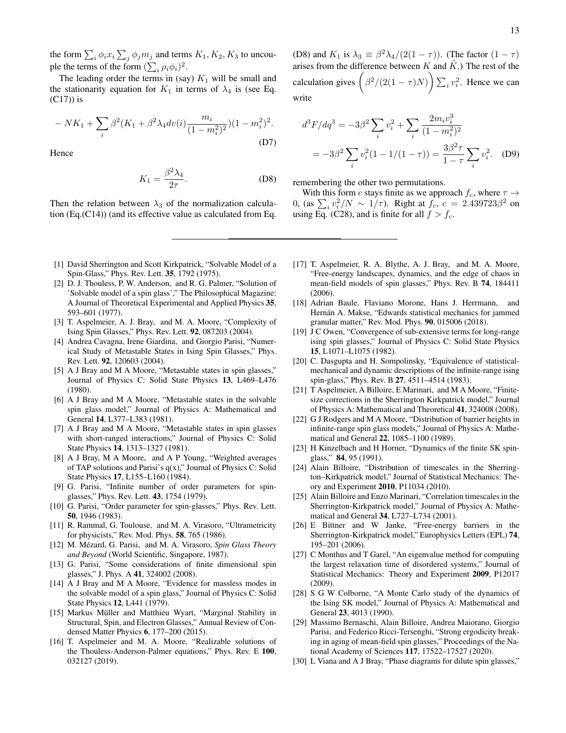the form  $\sum_i \phi_i x_i \sum_j \phi_j m_j$  and terms  $K_1, K_2, K_3$  to uncouple the terms of the form  $(\sum_i \rho_i \phi_i)^2$ .

The leading order the terms in (say)  $K_1$  will be small and the stationarity equation for  $K_1$  in terms of  $\lambda_4$  is (see Eq. (C17)) is

$$
-NK_1 + \sum_{i} \beta^2 (K_1 + \beta^2 \lambda_4 dv(i) \frac{m_i}{(1 - m_i^2)^2}) (1 - m_i^2)^2.
$$
\n(D7)

Hence

$$
K_1 = \frac{\beta^2 \lambda_4}{2\tau}.
$$
 (D8)

Then the relation between  $\lambda_3$  of the normalization calculation (Eq.(C14)) (and its effective value as calculated from Eq.

(D8) and  $K_1$  is  $\lambda_3 \equiv \frac{\beta^2 \lambda_4}{2(1 - \tau)}$ . (The factor  $(1 - \tau)$ ) arises from the difference between  $K$  and  $\tilde{K}$ .) The rest of the calculation gives  $(\beta^2/(2(1-\tau)N)) \sum_i v_i^2$ . Hence we can write

$$
d^3F/dq^3 = -3\beta^2 \sum_i v_i^2 + \sum_i \frac{2m_i v_i^3}{(1 - m_i^2)^2}
$$
  
=  $-3\beta^2 \sum_i v_i^2 (1 - 1/(1 - \tau)) = \frac{3\beta^2 \tau}{1 - \tau} \sum_i v_i^2$ . (D9)

remembering the other two permutations.

With this form c stays finite as we approach  $f_c$ , where  $\tau \rightarrow$ 0, (as  $\sum_i v_i^2/N \sim 1/\tau$ ). Right at  $f_c$ ,  $c = 2.439723\beta^2$  on using Eq. (C28), and is finite for all  $f > f_c$ .

- <span id="page-12-0"></span>[1] David Sherrington and Scott Kirkpatrick, "Solvable Model of a Spin-Glass," Phys. Rev. Lett. 35, 1792 (1975).
- <span id="page-12-1"></span>[2] D. J. Thouless, P. W. Anderson, and R. G. Palmer, "Solution of 'Solvable model of a spin glass'," The Philosophical Magazine: A Journal of Theoretical Experimental and Applied Physics 35, 593–601 (1977).
- <span id="page-12-2"></span>[3] T. Aspelmeier, A. J. Bray, and M. A. Moore, "Complexity of Ising Spin Glasses," Phys. Rev. Lett. 92, 087203 (2004).
- <span id="page-12-3"></span>[4] Andrea Cavagna, Irene Giardina, and Giorgio Parisi, "Numerical Study of Metastable States in Ising Spin Glasses," Phys. Rev. Lett. 92, 120603 (2004).
- <span id="page-12-4"></span>[5] A J Bray and M A Moore, "Metastable states in spin glasses," Journal of Physics C: Solid State Physics 13, L469–L476 (1980).
- <span id="page-12-7"></span>[6] A J Bray and M A Moore, "Metastable states in the solvable spin glass model," Journal of Physics A: Mathematical and General 14, L377–L383 (1981).
- <span id="page-12-5"></span>[7] A J Bray and M A Moore, "Metastable states in spin glasses with short-ranged interactions," Journal of Physics C: Solid State Physics 14, 1313–1327 (1981).
- <span id="page-12-6"></span>[8] A J Bray, M A Moore, and A P Young, "Weighted averages of TAP solutions and Parisi's  $q(x)$ ," Journal of Physics C: Solid State Physics 17, L155–L160 (1984).
- <span id="page-12-8"></span>[9] G. Parisi, "Infinite number of order parameters for spinglasses," Phys. Rev. Lett. 43, 1754 (1979).
- [10] G. Parisi, "Order parameter for spin-glasses," Phys. Rev. Lett. 50, 1946 (1983).
- [11] R. Rammal, G. Toulouse, and M. A. Virasoro, "Ultrametricity for physicists," Rev. Mod. Phys. 58, 765 (1986).
- <span id="page-12-24"></span>[12] M. Mézard, G. Parisi, and M. A. Virasoro, *Spin Glass Theory and Beyond* (World Scientific, Singapore, 1987).
- <span id="page-12-9"></span>[13] G. Parisi, "Some considerations of finite dimensional spin glasses," J. Phys. A 41, 324002 (2008).
- <span id="page-12-10"></span>[14] A J Bray and M A Moore, "Evidence for massless modes in the solvable model of a spin glass," Journal of Physics C: Solid State Physics 12, L441 (1979).
- <span id="page-12-11"></span>[15] Markus Müller and Matthieu Wyart, "Marginal Stability in Structural, Spin, and Electron Glasses," Annual Review of Condensed Matter Physics 6, 177–200 (2015).
- <span id="page-12-12"></span>[16] T. Aspelmeier and M. A. Moore, "Realizable solutions of the Thouless-Anderson-Palmer equations," Phys. Rev. E 100, 032127 (2019).
- <span id="page-12-13"></span>[17] T. Aspelmeier, R. A. Blythe, A. J. Bray, and M. A. Moore, "Free-energy landscapes, dynamics, and the edge of chaos in mean-field models of spin glasses," Phys. Rev. B 74, 184411 (2006).
- <span id="page-12-14"></span>[18] Adrian Baule, Flaviano Morone, Hans J. Herrmann, and Hernán A. Makse, "Edwards statistical mechanics for jammed granular matter," Rev. Mod. Phys. 90, 015006 (2018).
- <span id="page-12-15"></span>[19] J C Owen, "Convergence of sub-extensive terms for long-range ising spin glasses," Journal of Physics C: Solid State Physics 15, L1071–L1075 (1982).
- <span id="page-12-16"></span>[20] C. Dasgupta and H. Sompolinsky, "Equivalence of statisticalmechanical and dynamic descriptions of the infinite-range ising spin-glass," Phys. Rev. B 27, 4511–4514 (1983).
- <span id="page-12-17"></span>[21] T Aspelmeier, A Billoire, E Marinari, and M A Moore, "Finitesize corrections in the Sherrington Kirkpatrick model," Journal of Physics A: Mathematical and Theoretical 41, 324008 (2008).
- <span id="page-12-18"></span>[22] G J Rodgers and M A Moore, "Distribution of barrier heights in infinite-range spin glass models," Journal of Physics A: Mathematical and General 22, 1085–1100 (1989).
- <span id="page-12-19"></span>[23] H Kinzelbach and H Horner, "Dynamics of the finite SK spinglass," 84, 95 (1991).
- <span id="page-12-20"></span>[24] Alain Billoire, "Distribution of timescales in the Sherrington–Kirkpatrick model," Journal of Statistical Mechanics: Theory and Experiment 2010, P11034 (2010).
- [25] Alain Billoire and Enzo Marinari, "Correlation timescales in the Sherrington-Kirkpatrick model," Journal of Physics A: Mathematical and General 34, L727–L734 (2001).
- [26] E Bittner and W Janke, "Free-energy barriers in the Sherrington-Kirkpatrick model," Europhysics Letters (EPL) 74, 195–201 (2006).
- [27] C Monthus and T Garel, "An eigenvalue method for computing the largest relaxation time of disordered systems," Journal of Statistical Mechanics: Theory and Experiment 2009, P12017 (2009).
- <span id="page-12-21"></span>[28] S G W Colborne, "A Monte Carlo study of the dynamics of the Ising SK model," Journal of Physics A: Mathematical and General 23, 4013 (1990).
- <span id="page-12-22"></span>[29] Massimo Bernaschi, Alain Billoire, Andrea Maiorano, Giorgio Parisi, and Federico Ricci-Tersenghi, "Strong ergodicity breaking in aging of mean-field spin glasses," Proceedings of the National Academy of Sciences 117, 17522–17527 (2020).
- <span id="page-12-23"></span>[30] L Viana and A J Bray, "Phase diagrams for dilute spin glasses,"